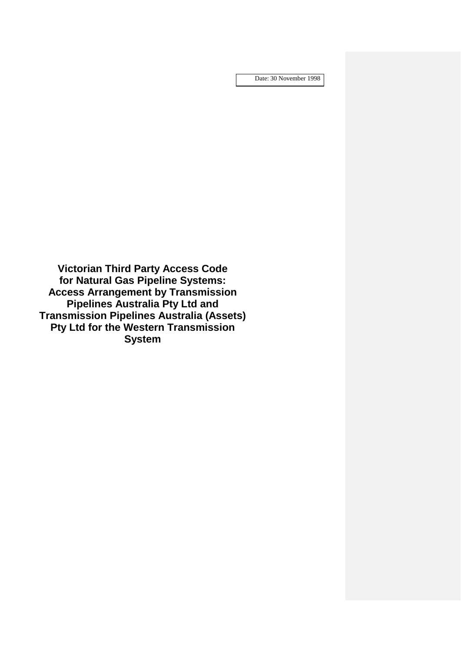Date: 30 November 1998

**Victorian Third Party Access Code for Natural Gas Pipeline Systems: Access Arrangement by Transmission Pipelines Australia Pty Ltd and Transmission Pipelines Australia (Assets) Pty Ltd for the Western Transmission System**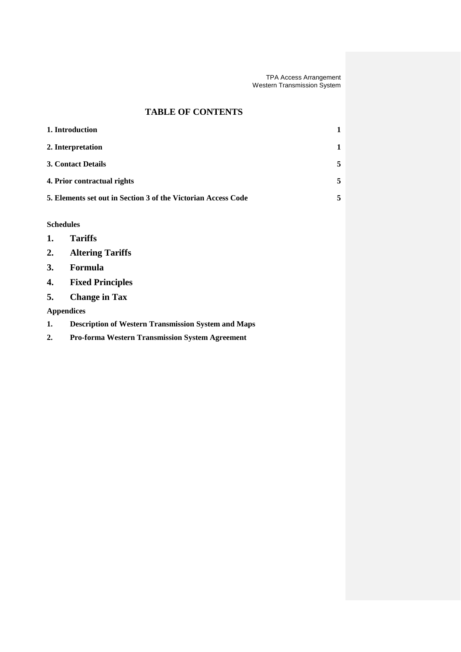# **TABLE OF CONTENTS**

| 1. Introduction                                                                                                             |                                                               |   |  |
|-----------------------------------------------------------------------------------------------------------------------------|---------------------------------------------------------------|---|--|
| 2. Interpretation                                                                                                           |                                                               |   |  |
| <b>3. Contact Details</b>                                                                                                   |                                                               | 5 |  |
| 4. Prior contractual rights                                                                                                 |                                                               | 5 |  |
|                                                                                                                             | 5. Elements set out in Section 3 of the Victorian Access Code | 5 |  |
| <b>Schedules</b><br><b>Tariffs</b><br>1.<br><b>Altering Tariffs</b><br>2.<br>Formula<br>3.<br><b>Fixed Principles</b><br>4. |                                                               |   |  |
| 5.<br><b>Change in Tax</b>                                                                                                  |                                                               |   |  |
| <b>Appendices</b>                                                                                                           |                                                               |   |  |
| 1.                                                                                                                          | <b>Description of Western Transmission System and Maps</b>    |   |  |
| 2.                                                                                                                          | <b>Pro-forma Western Transmission System Agreement</b>        |   |  |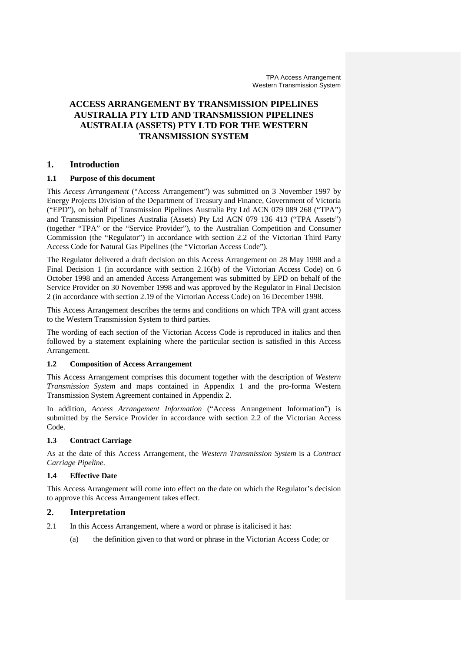# **ACCESS ARRANGEMENT BY TRANSMISSION PIPELINES AUSTRALIA PTY LTD AND TRANSMISSION PIPELINES AUSTRALIA (ASSETS) PTY LTD FOR THE WESTERN TRANSMISSION SYSTEM**

# **1. Introduction**

### **1.1 Purpose of this document**

This *Access Arrangement* ("Access Arrangement") was submitted on 3 November 1997 by Energy Projects Division of the Department of Treasury and Finance, Government of Victoria ("EPD"), on behalf of Transmission Pipelines Australia Pty Ltd ACN 079 089 268 ("TPA") and Transmission Pipelines Australia (Assets) Pty Ltd ACN 079 136 413 ("TPA Assets") (together "TPA" or the "Service Provider"), to the Australian Competition and Consumer Commission (the "Regulator") in accordance with section 2.2 of the Victorian Third Party Access Code for Natural Gas Pipelines (the "Victorian Access Code").

The Regulator delivered a draft decision on this Access Arrangement on 28 May 1998 and a Final Decision 1 (in accordance with section 2.16(b) of the Victorian Access Code) on 6 October 1998 and an amended Access Arrangement was submitted by EPD on behalf of the Service Provider on 30 November 1998 and was approved by the Regulator in Final Decision 2 (in accordance with section 2.19 of the Victorian Access Code) on 16 December 1998.

This Access Arrangement describes the terms and conditions on which TPA will grant access to the Western Transmission System to third parties.

The wording of each section of the Victorian Access Code is reproduced in italics and then followed by a statement explaining where the particular section is satisfied in this Access Arrangement.

### **1.2 Composition of Access Arrangement**

This Access Arrangement comprises this document together with the description of *Western Transmission System* and maps contained in Appendix 1 and the pro-forma Western Transmission System Agreement contained in Appendix 2.

In addition, *Access Arrangement Information* ("Access Arrangement Information") is submitted by the Service Provider in accordance with section 2.2 of the Victorian Access Code.

### **1.3 Contract Carriage**

As at the date of this Access Arrangement, the *Western Transmission System* is a *Contract Carriage Pipeline*.

### **1.4 Effective Date**

This Access Arrangement will come into effect on the date on which the Regulator's decision to approve this Access Arrangement takes effect.

# **2. Interpretation**

- 2.1 In this Access Arrangement, where a word or phrase is italicised it has:
	- (a) the definition given to that word or phrase in the Victorian Access Code; or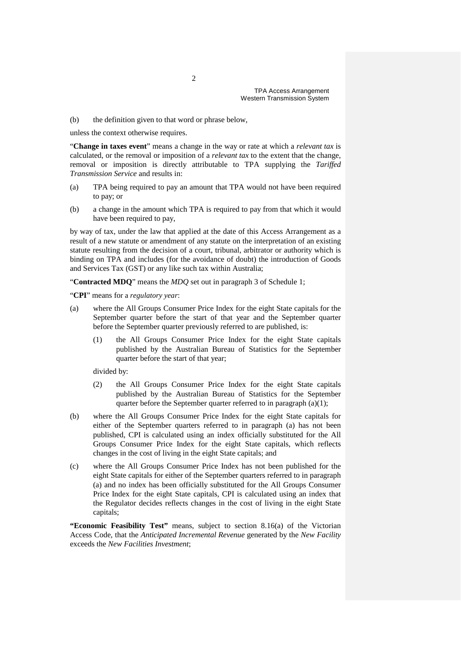(b) the definition given to that word or phrase below,

unless the context otherwise requires.

"**Change in taxes event**" means a change in the way or rate at which a *relevant tax* is calculated, or the removal or imposition of a *relevant tax* to the extent that the change, removal or imposition is directly attributable to TPA supplying the *Tariffed Transmission Service* and results in:

- (a) TPA being required to pay an amount that TPA would not have been required to pay; or
- (b) a change in the amount which TPA is required to pay from that which it would have been required to pay,

by way of tax, under the law that applied at the date of this Access Arrangement as a result of a new statute or amendment of any statute on the interpretation of an existing statute resulting from the decision of a court, tribunal, arbitrator or authority which is binding on TPA and includes (for the avoidance of doubt) the introduction of Goods and Services Tax (GST) or any like such tax within Australia;

"**Contracted MDQ**" means the *MDQ* set out in paragraph 3 of Schedule 1;

"**CPI**" means for a *regulatory year*:

- (a) where the All Groups Consumer Price Index for the eight State capitals for the September quarter before the start of that year and the September quarter before the September quarter previously referred to are published, is:
	- (1) the All Groups Consumer Price Index for the eight State capitals published by the Australian Bureau of Statistics for the September quarter before the start of that year;

divided by:

- (2) the All Groups Consumer Price Index for the eight State capitals published by the Australian Bureau of Statistics for the September quarter before the September quarter referred to in paragraph (a)(1);
- (b) where the All Groups Consumer Price Index for the eight State capitals for either of the September quarters referred to in paragraph (a) has not been published, CPI is calculated using an index officially substituted for the All Groups Consumer Price Index for the eight State capitals, which reflects changes in the cost of living in the eight State capitals; and
- (c) where the All Groups Consumer Price Index has not been published for the eight State capitals for either of the September quarters referred to in paragraph (a) and no index has been officially substituted for the All Groups Consumer Price Index for the eight State capitals, CPI is calculated using an index that the Regulator decides reflects changes in the cost of living in the eight State capitals;

**"Economic Feasibility Test"** means, subject to section 8.16(a) of the Victorian Access Code, that the *Anticipated Incremental Revenue* generated by the *New Facility*  exceeds the *New Facilities Investment*;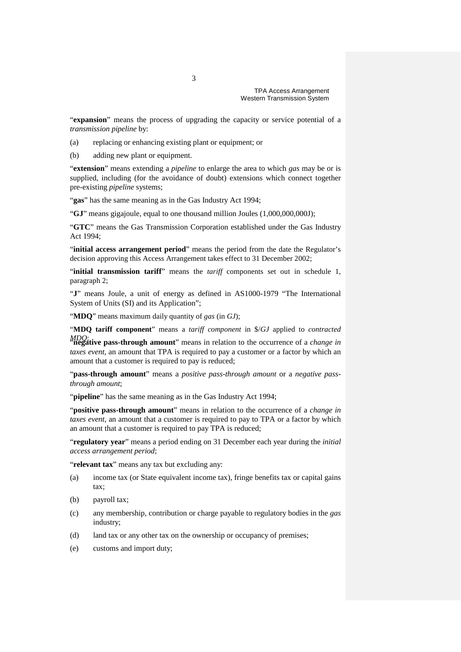"**expansion**" means the process of upgrading the capacity or service potential of a *transmission pipeline* by:

(a) replacing or enhancing existing plant or equipment; or

(b) adding new plant or equipment.

"**extension**" means extending a *pipeline* to enlarge the area to which *gas* may be or is supplied, including (for the avoidance of doubt) extensions which connect together pre-existing *pipeline* systems;

"gas" has the same meaning as in the Gas Industry Act 1994;

"**GJ**" means gigajoule, equal to one thousand million Joules (1,000,000,000J);

"**GTC**" means the Gas Transmission Corporation established under the Gas Industry Act 1994;

"initial access arrangement period" means the period from the date the Regulator's decision approving this Access Arrangement takes effect to 31 December 2002;

"**initial transmission tariff**" means the *tariff* components set out in schedule 1, paragraph 2;

"**J**" means Joule, a unit of energy as defined in AS1000-1979 "The International System of Units (SI) and its Application";

"**MDQ**" means maximum daily quantity of *gas* (in *GJ*);

"**MDQ tariff component**" means a *tariff component* in \$/*GJ* applied to *contracted* 

*MDQ*; "**negative pass-through amount**" means in relation to the occurrence of a *change in taxes event*, an amount that TPA is required to pay a customer or a factor by which an amount that a customer is required to pay is reduced;

"**pass-through amount**" means a *positive pass-through amount* or a *negative passthrough amount*;

"**pipeline**" has the same meaning as in the Gas Industry Act 1994;

"**positive pass-through amount**" means in relation to the occurrence of a *change in taxes event*, an amount that a customer is required to pay to TPA or a factor by which an amount that a customer is required to pay TPA is reduced;

"**regulatory year**" means a period ending on 31 December each year during the *initial access arrangement period*;

"**relevant tax**" means any tax but excluding any:

- (a) income tax (or State equivalent income tax), fringe benefits tax or capital gains tax;
- (b) payroll tax;
- (c) any membership, contribution or charge payable to regulatory bodies in the *gas* industry;
- (d) land tax or any other tax on the ownership or occupancy of premises;
- (e) customs and import duty;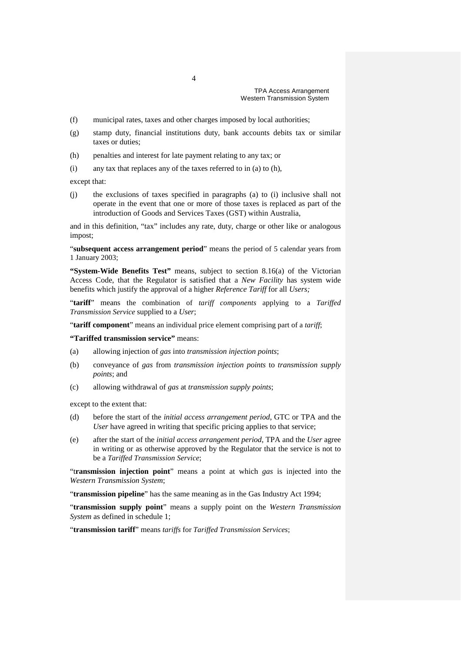- (f) municipal rates, taxes and other charges imposed by local authorities;
- (g) stamp duty, financial institutions duty, bank accounts debits tax or similar taxes or duties;
- (h) penalties and interest for late payment relating to any tax; or
- (i) any tax that replaces any of the taxes referred to in (a) to (h),

except that:

(j) the exclusions of taxes specified in paragraphs (a) to (i) inclusive shall not operate in the event that one or more of those taxes is replaced as part of the introduction of Goods and Services Taxes (GST) within Australia,

and in this definition, "tax" includes any rate, duty, charge or other like or analogous impost;

"**subsequent access arrangement period**" means the period of 5 calendar years from 1 January 2003;

**"System-Wide Benefits Test"** means, subject to section 8.16(a) of the Victorian Access Code, that the Regulator is satisfied that a *New Facility* has system wide benefits which justify the approval of a higher *Reference Tariff* for all *Users;*

"**tariff**" means the combination of *tariff components* applying to a *Tariffed Transmission Service* supplied to a *User*;

"**tariff component**" means an individual price element comprising part of a *tariff*;

**"Tariffed transmission service"** means:

- (a) allowing injection of *gas* into *transmission injection points*;
- (b) conveyance of *gas* from *transmission injection points* to *transmission supply points*; and
- (c) allowing withdrawal of *gas* at *transmission supply points*;

except to the extent that:

- (d) before the start of the *initial access arrangement period*, GTC or TPA and the *User* have agreed in writing that specific pricing applies to that service;
- (e) after the start of the *initial access arrangement period*, TPA and the *User* agree in writing or as otherwise approved by the Regulator that the service is not to be a *Tariffed Transmission Service*;

"t**ransmission injection point**" means a point at which *gas* is injected into the *Western Transmission System*;

"**transmission pipeline**" has the same meaning as in the Gas Industry Act 1994;

"**transmission supply point**" means a supply point on the *Western Transmission System* as defined in schedule 1;

"**transmission tariff**" means *tariffs* for *Tariffed Transmission Services*;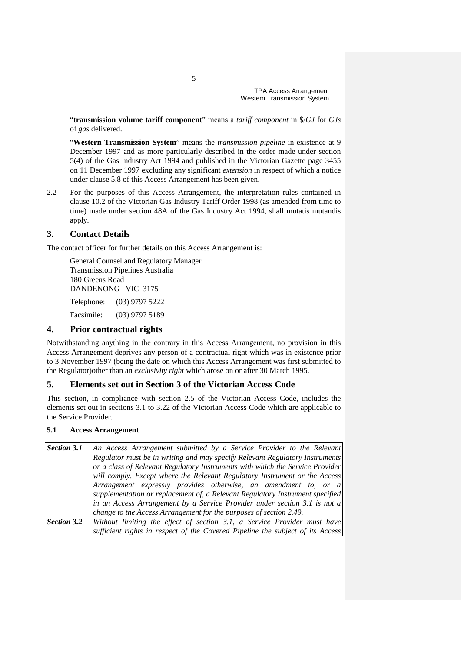"**transmission volume tariff component**" means a *tariff component* in \$/*GJ* for *GJs*  of *gas* delivered.

"**Western Transmission System**" means the *transmission pipeline* in existence at 9 December 1997 and as more particularly described in the order made under section 5(4) of the Gas Industry Act 1994 and published in the Victorian Gazette page 3455 on 11 December 1997 excluding any significant *extension* in respect of which a notice under clause 5.8 of this Access Arrangement has been given.

2.2 For the purposes of this Access Arrangement, the interpretation rules contained in clause 10.2 of the Victorian Gas Industry Tariff Order 1998 (as amended from time to time) made under section 48A of the Gas Industry Act 1994, shall mutatis mutandis apply.

# **3. Contact Details**

The contact officer for further details on this Access Arrangement is:

General Counsel and Regulatory Manager Transmission Pipelines Australia 180 Greens Road DANDENONG VIC 3175 Telephone: (03) 9797 5222 Facsimile: (03) 9797 5189

## **4. Prior contractual rights**

Notwithstanding anything in the contrary in this Access Arrangement, no provision in this Access Arrangement deprives any person of a contractual right which was in existence prior to 3 November 1997 (being the date on which this Access Arrangement was first submitted to the Regulator)other than an *exclusivity right* which arose on or after 30 March 1995.

# **5. Elements set out in Section 3 of the Victorian Access Code**

This section, in compliance with section 2.5 of the Victorian Access Code, includes the elements set out in sections 3.1 to 3.22 of the Victorian Access Code which are applicable to the Service Provider.

### **5.1 Access Arrangement**

- *Section 3.1 An Access Arrangement submitted by a Service Provider to the Relevant Regulator must be in writing and may specify Relevant Regulatory Instruments or a class of Relevant Regulatory Instruments with which the Service Provider will comply. Except where the Relevant Regulatory Instrument or the Access Arrangement expressly provides otherwise, an amendment to, or a supplementation or replacement of, a Relevant Regulatory Instrument specified in an Access Arrangement by a Service Provider under section 3.1 is not a change to the Access Arrangement for the purposes of section 2.49.*
- *Section 3.2 Without limiting the effect of section 3.1, a Service Provider must have sufficient rights in respect of the Covered Pipeline the subject of its Access*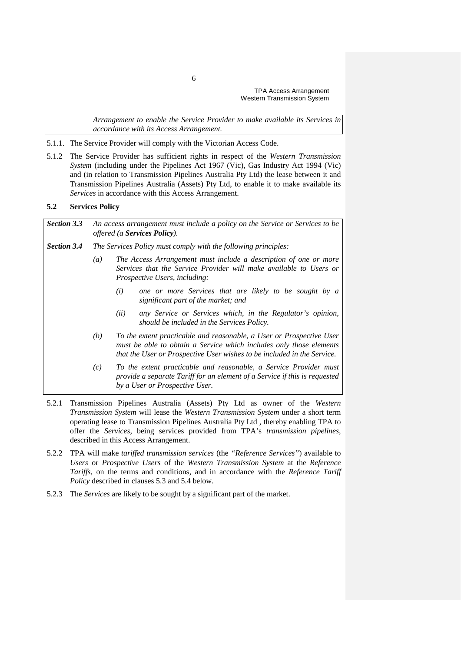*Arrangement to enable the Service Provider to make available its Services in accordance with its Access Arrangement.*

- 5.1.1. The Service Provider will comply with the Victorian Access Code.
- 5.1.2 The Service Provider has sufficient rights in respect of the *Western Transmission System* (including under the Pipelines Act 1967 (Vic), Gas Industry Act 1994 (Vic) and (in relation to Transmission Pipelines Australia Pty Ltd) the lease between it and Transmission Pipelines Australia (Assets) Pty Ltd, to enable it to make available its *Services* in accordance with this Access Arrangement.

#### **5.2 Services Policy**

| <b>Section 3.3</b> |                  | An access arrangement must include a policy on the Service or Services to be<br>offered (a <b>Services Policy</b> ).                                                                                                   |  |  |
|--------------------|------------------|------------------------------------------------------------------------------------------------------------------------------------------------------------------------------------------------------------------------|--|--|
| Section 3.4        |                  | The Services Policy must comply with the following principles:                                                                                                                                                         |  |  |
|                    | $\left(a\right)$ | The Access Arrangement must include a description of one or more<br>Services that the Service Provider will make available to Users or<br><i>Prospective Users, including:</i>                                         |  |  |
|                    |                  | one or more Services that are likely to be sought by a<br>(i)<br>significant part of the market; and                                                                                                                   |  |  |
|                    |                  | any Service or Services which, in the Regulator's opinion,<br>(ii)<br>should be included in the Services Policy.                                                                                                       |  |  |
|                    | (b)              | To the extent practicable and reasonable, a User or Prospective User<br>must be able to obtain a Service which includes only those elements<br>that the User or Prospective User wishes to be included in the Service. |  |  |
|                    | (c)              | To the extent practicable and reasonable, a Service Provider must<br>provide a separate Tariff for an element of a Service if this is requested<br>by a User or Prospective User.                                      |  |  |

- 5.2.1 Transmission Pipelines Australia (Assets) Pty Ltd as owner of the *Western Transmission System* will lease the *Western Transmission System* under a short term operating lease to Transmission Pipelines Australia Pty Ltd , thereby enabling TPA to offer the *Services*, being services provided from TPA's *transmission pipelines*, described in this Access Arrangement.
- 5.2.2 TPA will make *tariffed transmission services* (the *"Reference Services"*) available to *Users* or *Prospective Users* of the *Western Transmission System* at the *Reference Tariffs,* on the terms and conditions, and in accordance with the *Reference Tariff Policy* described in clauses 5.3 and 5.4 below.
- 5.2.3 The *Services* are likely to be sought by a significant part of the market.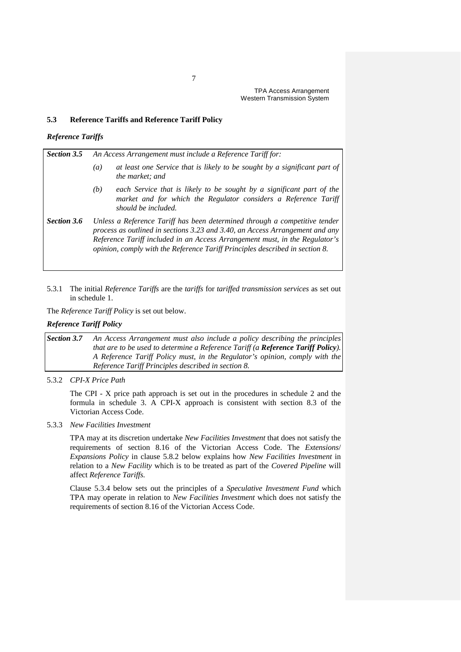### **5.3 Reference Tariffs and Reference Tariff Policy**

### *Reference Tariffs*

| <b>Section 3.5</b> | An Access Arrangement must include a Reference Tariff for:                                                                                                                                                                                                                                                                |  |  |  |  |
|--------------------|---------------------------------------------------------------------------------------------------------------------------------------------------------------------------------------------------------------------------------------------------------------------------------------------------------------------------|--|--|--|--|
|                    | at least one Service that is likely to be sought by a significant part of<br>(a)<br>the market; and                                                                                                                                                                                                                       |  |  |  |  |
|                    | each Service that is likely to be sought by a significant part of the<br>(b)<br>market and for which the Regulator considers a Reference Tariff<br>should be included.                                                                                                                                                    |  |  |  |  |
| <b>Section 3.6</b> | Unless a Reference Tariff has been determined through a competitive tender<br>process as outlined in sections 3.23 and 3.40, an Access Arrangement and any<br>Reference Tariff included in an Access Arrangement must, in the Regulator's<br>opinion, comply with the Reference Tariff Principles described in section 8. |  |  |  |  |

5.3.1 The initial *Reference Tariffs* are the *tariffs* for *tariffed transmission services* as set out in schedule 1.

The *Reference Tariff Policy* is set out below.

### *Reference Tariff Policy*

*Section 3.7 An Access Arrangement must also include a policy describing the principles that are to be used to determine a Reference Tariff (a Reference Tariff Policy). A Reference Tariff Policy must, in the Regulator's opinion, comply with the Reference Tariff Principles described in section 8.*

5.3.2 *CPI-X Price Path*

The CPI - X price path approach is set out in the procedures in schedule 2 and the formula in schedule 3. A CPI-X approach is consistent with section 8.3 of the Victorian Access Code.

5.3.3 *New Facilities Investment*

TPA may at its discretion undertake *New Facilities Investment* that does not satisfy the requirements of section 8.16 of the Victorian Access Code. The *Extensions*/ *Expansions Policy* in clause 5.8.2 below explains how *New Facilities Investment* in relation to a *New Facility* which is to be treated as part of the *Covered Pipeline* will affect *Reference Tariffs.*

Clause 5.3.4 below sets out the principles of a *Speculative Investment Fund* which TPA may operate in relation to *New Facilities Investment* which does not satisfy the requirements of section 8.16 of the Victorian Access Code.

7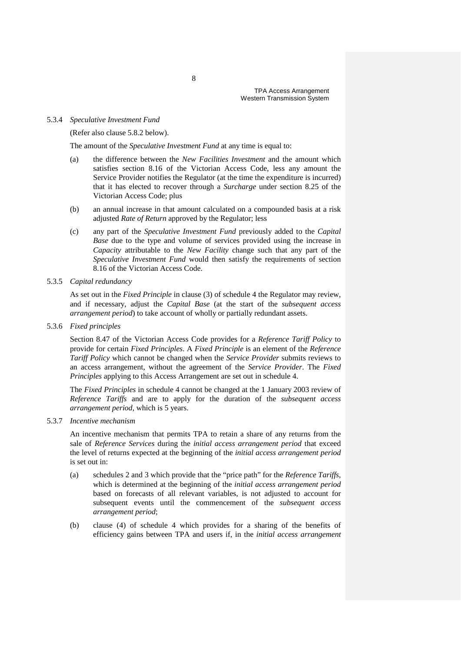#### 5.3.4 *Speculative Investment Fund*

(Refer also clause 5.8.2 below).

The amount of the *Speculative Investment Fund* at any time is equal to:

- (a) the difference between the *New Facilities Investment* and the amount which satisfies section 8.16 of the Victorian Access Code, less any amount the Service Provider notifies the Regulator (at the time the expenditure is incurred) that it has elected to recover through a *Surcharge* under section 8.25 of the Victorian Access Code; plus
- (b) an annual increase in that amount calculated on a compounded basis at a risk adjusted *Rate of Return* approved by the Regulator; less
- (c) any part of the *Speculative Investment Fund* previously added to the *Capital Base* due to the type and volume of services provided using the increase in *Capacity* attributable to the *New Facility* change such that any part of the *Speculative Investment Fund* would then satisfy the requirements of section 8.16 of the Victorian Access Code.
- 5.3.5 *Capital redundancy*

As set out in the *Fixed Principle* in clause (3) of schedule 4 the Regulator may review, and if necessary, adjust the *Capital Base* (at the start of the *subsequent access arrangement period*) to take account of wholly or partially redundant assets.

5.3.6 *Fixed principles*

Section 8.47 of the Victorian Access Code provides for a *Reference Tariff Policy* to provide for certain *Fixed Principles*. A *Fixed Principle* is an element of the *Reference Tariff Policy* which cannot be changed when the *Service Provider* submits reviews to an access arrangement, without the agreement of the *Service Provider*. The *Fixed Principles* applying to this Access Arrangement are set out in schedule 4.

The *Fixed Principles* in schedule 4 cannot be changed at the 1 January 2003 review of *Reference Tariffs* and are to apply for the duration of the *subsequent access arrangement period*, which is 5 years.

5.3.7 *Incentive mechanism*

An incentive mechanism that permits TPA to retain a share of any returns from the sale of *Reference Services* during the *initial access arrangement period* that exceed the level of returns expected at the beginning of the *initial access arrangement period*  is set out in:

- (a) schedules 2 and 3 which provide that the "price path" for the *Reference Tariffs*, which is determined at the beginning of the *initial access arrangement period* based on forecasts of all relevant variables, is not adjusted to account for subsequent events until the commencement of the *subsequent access arrangement period*;
- (b) clause (4) of schedule 4 which provides for a sharing of the benefits of efficiency gains between TPA and users if, in the *initial access arrangement*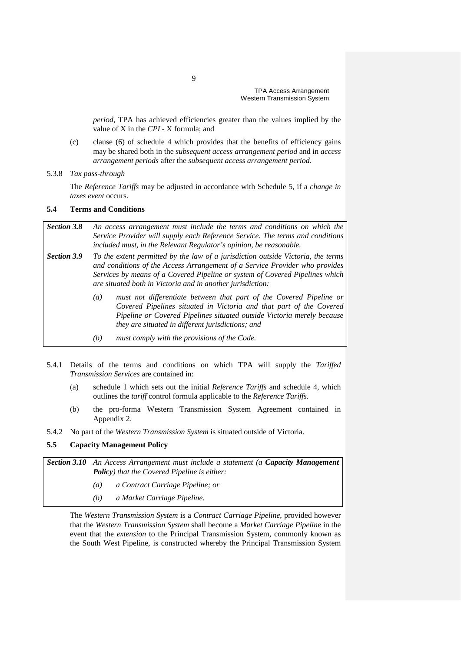*period*, TPA has achieved efficiencies greater than the values implied by the value of X in the *CPI* - X formula; and

(c) clause (6) of schedule 4 which provides that the benefits of efficiency gains may be shared both in the *subsequent access arrangement period* and in *access arrangement periods* after the *subsequent access arrangement period*.

### 5.3.8 *Tax pass-through*

The *Reference Tariffs* may be adjusted in accordance with Schedule 5, if a *change in*  taxes event occurs.

### **5.4 Terms and Conditions**

| <b>Section 3.8</b> | An access arrangement must include the terms and conditions on which the<br>Service Provider will supply each Reference Service. The terms and conditions<br>included must, in the Relevant Regulator's opinion, be reasonable.                                                                               |
|--------------------|---------------------------------------------------------------------------------------------------------------------------------------------------------------------------------------------------------------------------------------------------------------------------------------------------------------|
| <b>Section 3.9</b> | To the extent permitted by the law of a jurisdiction outside Victoria, the terms<br>and conditions of the Access Arrangement of a Service Provider who provides<br>Services by means of a Covered Pipeline or system of Covered Pipelines which<br>are situated both in Victoria and in another jurisdiction: |
|                    | must not differentiate between that part of the Covered Pipeline or<br>$\left(a\right)$<br>Covered Pipelines situated in Victoria and that part of the Covered<br>Pipeline or Covered Pipelines situated outside Victoria merely because<br>they are situated in different jurisdictions; and                 |
|                    | must comply with the provisions of the Code.<br>(b)                                                                                                                                                                                                                                                           |

- 5.4.1 Details of the terms and conditions on which TPA will supply the *Tariffed Transmission Services* are contained in:
	- (a) schedule 1 which sets out the initial *Reference Tariffs* and schedule 4, which outlines the *tariff* control formula applicable to the *Reference Tariffs.*
	- (b) the pro-forma Western Transmission System Agreement contained in Appendix 2.
- 5.4.2 No part of the *Western Transmission System* is situated outside of Victoria.

# **5.5 Capacity Management Policy**

*Section 3.10 An Access Arrangement must include a statement (a Capacity Management Policy) that the Covered Pipeline is either:*

- *(a) a Contract Carriage Pipeline; or*
- *(b) a Market Carriage Pipeline.*

The *Western Transmission System* is a *Contract Carriage Pipeline*, provided however that the *Western Transmission System* shall become a *Market Carriage Pipeline* in the event that the *extension* to the Principal Transmission System, commonly known as the South West Pipeline, is constructed whereby the Principal Transmission System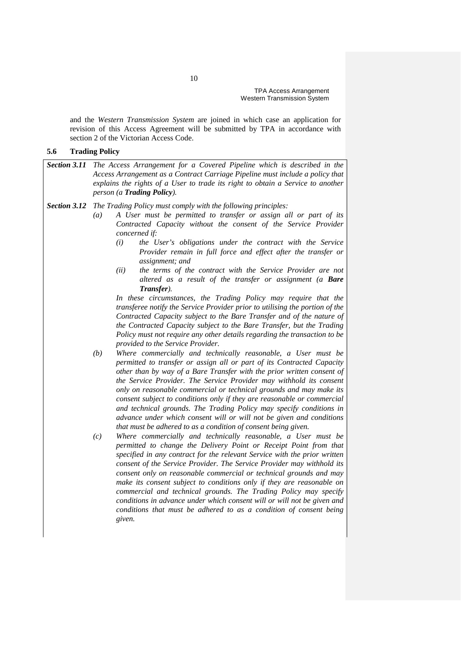and the *Western Transmission System* are joined in which case an application for revision of this Access Agreement will be submitted by TPA in accordance with section 2 of the Victorian Access Code.

### **5.6 Trading Policy**

| <b>Section 3.11</b> The Access Arrangement for a Covered Pipeline which is described in the |
|---------------------------------------------------------------------------------------------|
| Access Arrangement as a Contract Carriage Pipeline must include a policy that               |
| explains the rights of a User to trade its right to obtain a Service to another             |
| <i>person (a <b>Trading Policy</b>)</i> .                                                   |

*Section 3.12 The Trading Policy must comply with the following principles:*

- *(a) A User must be permitted to transfer or assign all or part of its Contracted Capacity without the consent of the Service Provider concerned if:*
	- *(i) the User's obligations under the contract with the Service Provider remain in full force and effect after the transfer or assignment; and*
	- *(ii) the terms of the contract with the Service Provider are not altered as a result of the transfer or assignment (a Bare Transfer).*

*In these circumstances, the Trading Policy may require that the transferee notify the Service Provider prior to utilising the portion of the Contracted Capacity subject to the Bare Transfer and of the nature of the Contracted Capacity subject to the Bare Transfer, but the Trading Policy must not require any other details regarding the transaction to be provided to the Service Provider.*

- *(b) Where commercially and technically reasonable, a User must be permitted to transfer or assign all or part of its Contracted Capacity other than by way of a Bare Transfer with the prior written consent of the Service Provider. The Service Provider may withhold its consent only on reasonable commercial or technical grounds and may make its consent subject to conditions only if they are reasonable or commercial and technical grounds. The Trading Policy may specify conditions in advance under which consent will or will not be given and conditions that must be adhered to as a condition of consent being given.*
- *(c) Where commercially and technically reasonable, a User must be permitted to change the Delivery Point or Receipt Point from that specified in any contract for the relevant Service with the prior written consent of the Service Provider. The Service Provider may withhold its consent only on reasonable commercial or technical grounds and may make its consent subject to conditions only if they are reasonable on commercial and technical grounds. The Trading Policy may specify conditions in advance under which consent will or will not be given and conditions that must be adhered to as a condition of consent being given.*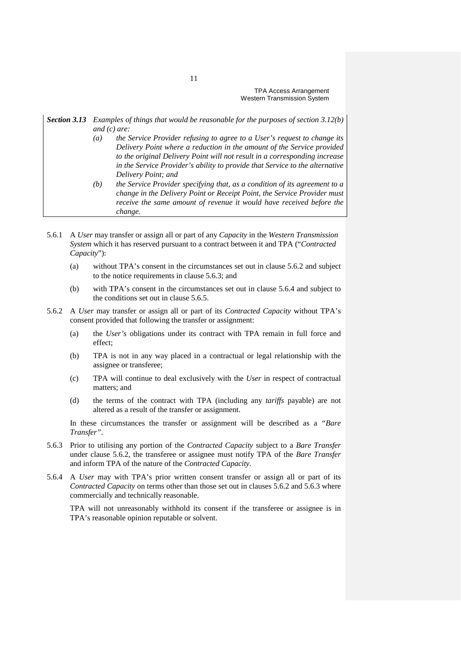# *Section 3.13 Examples of things that would be reasonable for the purposes of section 3.12(b) and (c) are:*

- *(a) the Service Provider refusing to agree to a User's request to change its Delivery Point where a reduction in the amount of the Service provided to the original Delivery Point will not result in a corresponding increase in the Service Provider's ability to provide that Service to the alternative Delivery Point; and*
- *(b) the Service Provider specifying that, as a condition of its agreement to a change in the Delivery Point or Receipt Point, the Service Provider must receive the same amount of revenue it would have received before the change.*
- 5.6.1 A *User* may transfer or assign all or part of any *Capacity* in the *Western Transmission System* which it has reserved pursuant to a contract between it and TPA ("*Contracted Capacity*"):
	- (a) without TPA's consent in the circumstances set out in clause 5.6.2 and subject to the notice requirements in clause 5.6.3; and
	- (b) with TPA's consent in the circumstances set out in clause 5.6.4 and subject to the conditions set out in clause 5.6.5.
- 5.6.2 A *User* may transfer or assign all or part of its *Contracted Capacity* without TPA's consent provided that following the transfer or assignment:
	- (a) the *User's* obligations under its contract with TPA remain in full force and effect;
	- (b) TPA is not in any way placed in a contractual or legal relationship with the assignee or transferee;
	- (c) TPA will continue to deal exclusively with the *User* in respect of contractual matters; and
	- (d) the terms of the contract with TPA (including any *tariffs* payable) are not altered as a result of the transfer or assignment.

In these circumstances the transfer or assignment will be described as a *"Bare Transfer"*.

- 5.6.3 Prior to utilising any portion of the *Contracted Capacity* subject to a *Bare Transfer* under clause 5.6.2, the transferee or assignee must notify TPA of the *Bare Transfer* and inform TPA of the nature of the *Contracted Capacity*.
- 5.6.4 A *User* may with TPA's prior written consent transfer or assign all or part of its *Contracted Capacity* on terms other than those set out in clauses 5.6.2 and 5.6.3 where commercially and technically reasonable.

TPA will not unreasonably withhold its consent if the transferee or assignee is in TPA's reasonable opinion reputable or solvent.

11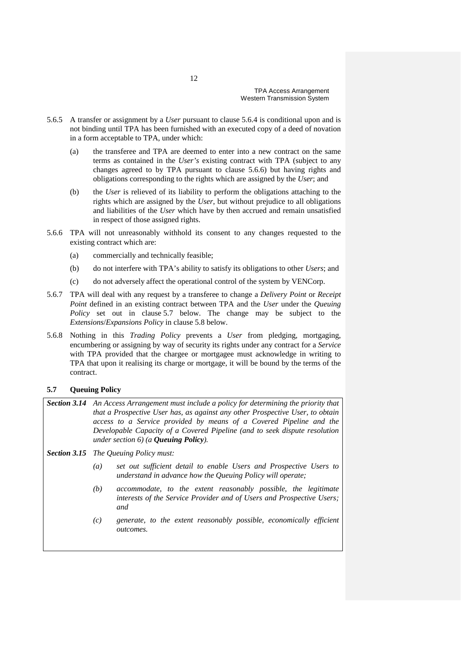- 5.6.5 A transfer or assignment by a *User* pursuant to clause 5.6.4 is conditional upon and is not binding until TPA has been furnished with an executed copy of a deed of novation in a form acceptable to TPA, under which:
	- (a) the transferee and TPA are deemed to enter into a new contract on the same terms as contained in the *User's* existing contract with TPA (subject to any changes agreed to by TPA pursuant to clause 5.6.6) but having rights and obligations corresponding to the rights which are assigned by the *User*; and
	- (b) the *User* is relieved of its liability to perform the obligations attaching to the rights which are assigned by the *User*, but without prejudice to all obligations and liabilities of the *User* which have by then accrued and remain unsatisfied in respect of those assigned rights.
- 5.6.6 TPA will not unreasonably withhold its consent to any changes requested to the existing contract which are:
	- (a) commercially and technically feasible;
	- (b) do not interfere with TPA's ability to satisfy its obligations to other *Users*; and
	- (c) do not adversely affect the operational control of the system by VENCorp.
- 5.6.7 TPA will deal with any request by a transferee to change a *Delivery Point* or *Receipt Point* defined in an existing contract between TPA and the *User* under the *Queuing Policy* set out in clause 5.7 below. The change may be subject to the *Extensions*/*Expansions Policy* in clause 5.8 below.
- 5.6.8 Nothing in this *Trading Policy* prevents a *User* from pledging, mortgaging, encumbering or assigning by way of security its rights under any contract for a *Service*  with TPA provided that the chargee or mortgagee must acknowledge in writing to TPA that upon it realising its charge or mortgage, it will be bound by the terms of the contract.

### **5.7 Queuing Policy**

- *Section 3.14 An Access Arrangement must include a policy for determining the priority that that a Prospective User has, as against any other Prospective User, to obtain access to a Service provided by means of a Covered Pipeline and the Developable Capacity of a Covered Pipeline (and to seek dispute resolution under section 6) (a Queuing Policy).*
- *Section 3.15 The Queuing Policy must:*
	- *(a) set out sufficient detail to enable Users and Prospective Users to understand in advance how the Queuing Policy will operate;*
	- *(b) accommodate, to the extent reasonably possible, the legitimate interests of the Service Provider and of Users and Prospective Users; and*
	- *(c) generate, to the extent reasonably possible, economically efficient outcomes.*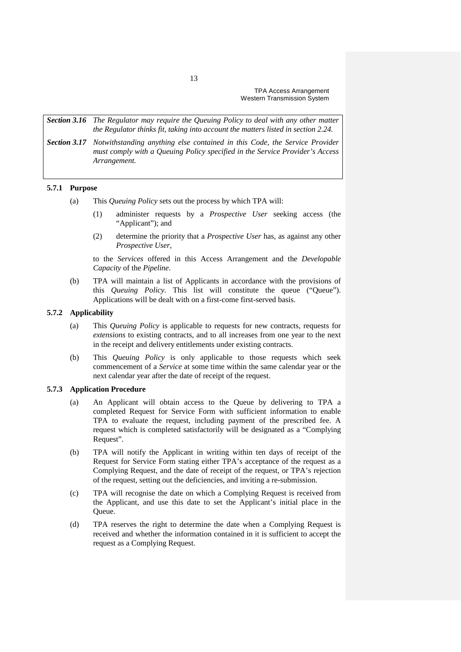*Section 3.16 The Regulator may require the Queuing Policy to deal with any other matter the Regulator thinks fit, taking into account the matters listed in section 2.24.*

*Section 3.17 Notwithstanding anything else contained in this Code, the Service Provider must comply with a Queuing Policy specified in the Service Provider's Access Arrangement.*

#### **5.7.1 Purpose**

- (a) This *Queuing Policy* sets out the process by which TPA will:
	- (1) administer requests by a *Prospective User* seeking access (the "Applicant"); and
	- (2) determine the priority that a *Prospective User* has, as against any other *Prospective User*,

to the *Services* offered in this Access Arrangement and the *Developable Capacity* of the *Pipeline*.

(b) TPA will maintain a list of Applicants in accordance with the provisions of this *Queuing Policy*. This list will constitute the queue ("Queue"). Applications will be dealt with on a first-come first-served basis.

### **5.7.2 Applicability**

- (a) This *Queuing Policy* is applicable to requests for new contracts, requests for *extensions* to existing contracts, and to all increases from one year to the next in the receipt and delivery entitlements under existing contracts.
- (b) This *Queuing Policy* is only applicable to those requests which seek commencement of a *Service* at some time within the same calendar year or the next calendar year after the date of receipt of the request.

# **5.7.3 Application Procedure**

- (a) An Applicant will obtain access to the Queue by delivering to TPA a completed Request for Service Form with sufficient information to enable TPA to evaluate the request, including payment of the prescribed fee. A request which is completed satisfactorily will be designated as a "Complying Request".
- (b) TPA will notify the Applicant in writing within ten days of receipt of the Request for Service Form stating either TPA's acceptance of the request as a Complying Request, and the date of receipt of the request, or TPA's rejection of the request, setting out the deficiencies, and inviting a re-submission.
- (c) TPA will recognise the date on which a Complying Request is received from the Applicant, and use this date to set the Applicant's initial place in the Queue.
- (d) TPA reserves the right to determine the date when a Complying Request is received and whether the information contained in it is sufficient to accept the request as a Complying Request.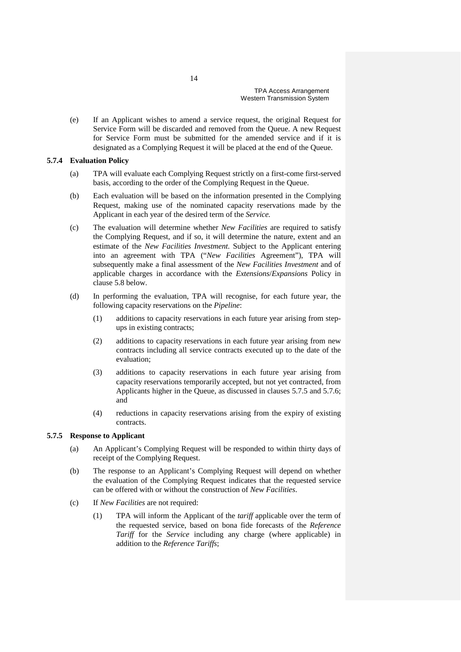(e) If an Applicant wishes to amend a service request, the original Request for Service Form will be discarded and removed from the Queue. A new Request for Service Form must be submitted for the amended service and if it is designated as a Complying Request it will be placed at the end of the Queue.

#### **5.7.4 Evaluation Policy**

- (a) TPA will evaluate each Complying Request strictly on a first-come first-served basis, according to the order of the Complying Request in the Queue.
- (b) Each evaluation will be based on the information presented in the Complying Request, making use of the nominated capacity reservations made by the Applicant in each year of the desired term of the *Service.*
- (c) The evaluation will determine whether *New Facilities* are required to satisfy the Complying Request, and if so, it will determine the nature, extent and an estimate of the *New Facilities Investment*. Subject to the Applicant entering into an agreement with TPA ("*New Facilities* Agreement"), TPA will subsequently make a final assessment of the *New Facilities Investment* and of applicable charges in accordance with the *Extensions*/*Expansions* Policy in clause 5.8 below.
- (d) In performing the evaluation, TPA will recognise, for each future year, the following capacity reservations on the *Pipeline*:
	- (1) additions to capacity reservations in each future year arising from stepups in existing contracts;
	- (2) additions to capacity reservations in each future year arising from new contracts including all service contracts executed up to the date of the evaluation;
	- (3) additions to capacity reservations in each future year arising from capacity reservations temporarily accepted, but not yet contracted, from Applicants higher in the Queue, as discussed in clauses 5.7.5 and 5.7.6; and
	- (4) reductions in capacity reservations arising from the expiry of existing contracts.

### **5.7.5 Response to Applicant**

- (a) An Applicant's Complying Request will be responded to within thirty days of receipt of the Complying Request.
- (b) The response to an Applicant's Complying Request will depend on whether the evaluation of the Complying Request indicates that the requested service can be offered with or without the construction of *New Facilities*.
- (c) If *New Facilities* are not required:
	- (1) TPA will inform the Applicant of the *tariff* applicable over the term of the requested service, based on bona fide forecasts of the *Reference Tariff* for the *Service* including any charge (where applicable) in addition to the *Reference Tariffs*;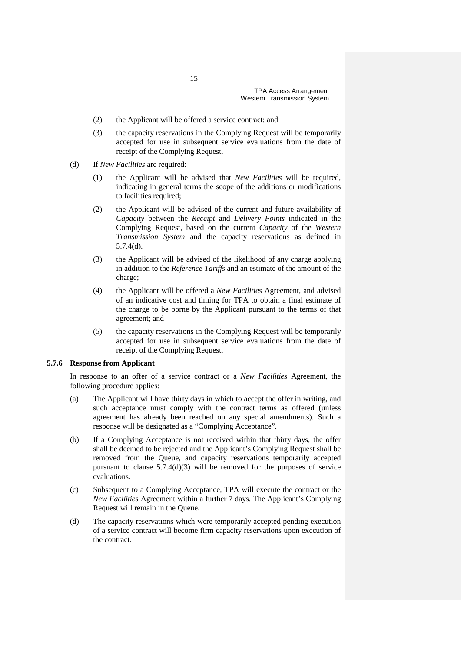- (2) the Applicant will be offered a service contract; and
- (3) the capacity reservations in the Complying Request will be temporarily accepted for use in subsequent service evaluations from the date of receipt of the Complying Request.
- (d) If *New Facilities* are required:
	- (1) the Applicant will be advised that *New Facilities* will be required, indicating in general terms the scope of the additions or modifications to facilities required;
	- (2) the Applicant will be advised of the current and future availability of *Capacity* between the *Receipt* and *Delivery Points* indicated in the Complying Request, based on the current *Capacity* of the *Western Transmission System* and the capacity reservations as defined in 5.7.4(d).
	- (3) the Applicant will be advised of the likelihood of any charge applying in addition to the *Reference Tariffs* and an estimate of the amount of the charge;
	- (4) the Applicant will be offered a *New Facilities* Agreement, and advised of an indicative cost and timing for TPA to obtain a final estimate of the charge to be borne by the Applicant pursuant to the terms of that agreement; and
	- (5) the capacity reservations in the Complying Request will be temporarily accepted for use in subsequent service evaluations from the date of receipt of the Complying Request.

### **5.7.6 Response from Applicant**

In response to an offer of a service contract or a *New Facilities* Agreement, the following procedure applies:

- (a) The Applicant will have thirty days in which to accept the offer in writing, and such acceptance must comply with the contract terms as offered (unless agreement has already been reached on any special amendments). Such a response will be designated as a "Complying Acceptance".
- (b) If a Complying Acceptance is not received within that thirty days, the offer shall be deemed to be rejected and the Applicant's Complying Request shall be removed from the Queue, and capacity reservations temporarily accepted pursuant to clause 5.7.4(d)(3) will be removed for the purposes of service evaluations.
- (c) Subsequent to a Complying Acceptance, TPA will execute the contract or the *New Facilities* Agreement within a further 7 days. The Applicant's Complying Request will remain in the Queue.
- (d) The capacity reservations which were temporarily accepted pending execution of a service contract will become firm capacity reservations upon execution of the contract.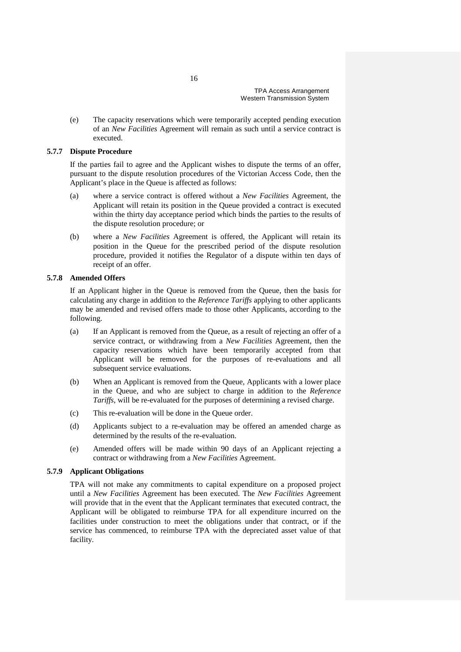(e) The capacity reservations which were temporarily accepted pending execution of an *New Facilities* Agreement will remain as such until a service contract is executed.

### **5.7.7 Dispute Procedure**

If the parties fail to agree and the Applicant wishes to dispute the terms of an offer, pursuant to the dispute resolution procedures of the Victorian Access Code, then the Applicant's place in the Queue is affected as follows:

- (a) where a service contract is offered without a *New Facilities* Agreement, the Applicant will retain its position in the Queue provided a contract is executed within the thirty day acceptance period which binds the parties to the results of the dispute resolution procedure; or
- (b) where a *New Facilities* Agreement is offered, the Applicant will retain its position in the Queue for the prescribed period of the dispute resolution procedure, provided it notifies the Regulator of a dispute within ten days of receipt of an offer.

### **5.7.8 Amended Offers**

If an Applicant higher in the Queue is removed from the Queue, then the basis for calculating any charge in addition to the *Reference Tariffs* applying to other applicants may be amended and revised offers made to those other Applicants, according to the following.

- (a) If an Applicant is removed from the Queue, as a result of rejecting an offer of a service contract, or withdrawing from a *New Facilities* Agreement, then the capacity reservations which have been temporarily accepted from that Applicant will be removed for the purposes of re-evaluations and all subsequent service evaluations.
- (b) When an Applicant is removed from the Queue, Applicants with a lower place in the Queue, and who are subject to charge in addition to the *Reference Tariffs*, will be re-evaluated for the purposes of determining a revised charge.
- (c) This re-evaluation will be done in the Queue order.
- (d) Applicants subject to a re-evaluation may be offered an amended charge as determined by the results of the re-evaluation.
- (e) Amended offers will be made within 90 days of an Applicant rejecting a contract or withdrawing from a *New Facilities* Agreement.

### **5.7.9 Applicant Obligations**

TPA will not make any commitments to capital expenditure on a proposed project until a *New Facilities* Agreement has been executed. The *New Facilities* Agreement will provide that in the event that the Applicant terminates that executed contract, the Applicant will be obligated to reimburse TPA for all expenditure incurred on the facilities under construction to meet the obligations under that contract, or if the service has commenced, to reimburse TPA with the depreciated asset value of that facility.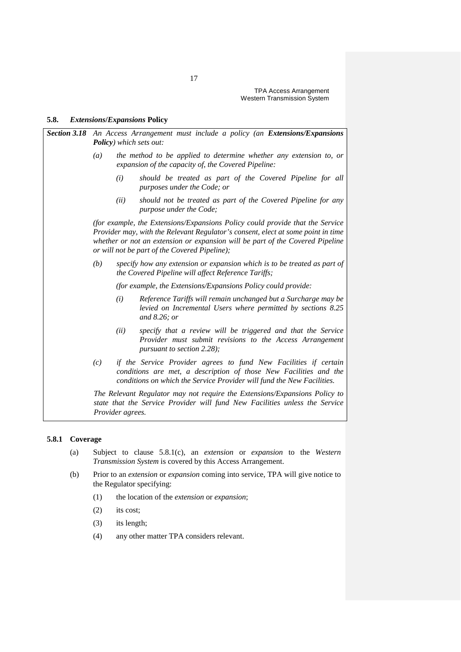### **5.8.** *Extensions***/***Expansions* **Policy**

| <b>Section 3.18</b> An Access Arrangement must include a policy (an Extensions/Expansions<br><b>Policy</b> ) which sets out: |                  |                                                                                                                                                                                                                                                                                                     |  |
|------------------------------------------------------------------------------------------------------------------------------|------------------|-----------------------------------------------------------------------------------------------------------------------------------------------------------------------------------------------------------------------------------------------------------------------------------------------------|--|
| (a)                                                                                                                          |                  | the method to be applied to determine whether any extension to, or<br>expansion of the capacity of, the Covered Pipeline:                                                                                                                                                                           |  |
|                                                                                                                              | (i)              | should be treated as part of the Covered Pipeline for all<br>purposes under the Code; or                                                                                                                                                                                                            |  |
|                                                                                                                              | (ii)             | should not be treated as part of the Covered Pipeline for any<br>purpose under the Code;                                                                                                                                                                                                            |  |
|                                                                                                                              |                  | (for example, the Extensions/Expansions Policy could provide that the Service<br>Provider may, with the Relevant Regulator's consent, elect at some point in time<br>whether or not an extension or expansion will be part of the Covered Pipeline<br>or will not be part of the Covered Pipeline); |  |
| (b)                                                                                                                          |                  | specify how any extension or expansion which is to be treated as part of<br>the Covered Pipeline will affect Reference Tariffs;                                                                                                                                                                     |  |
|                                                                                                                              |                  | (for example, the Extensions/Expansions Policy could provide:                                                                                                                                                                                                                                       |  |
|                                                                                                                              | (i)              | Reference Tariffs will remain unchanged but a Surcharge may be<br>levied on Incremental Users where permitted by sections 8.25<br>and $8.26$ ; or                                                                                                                                                   |  |
|                                                                                                                              | (ii)             | specify that a review will be triggered and that the Service<br>Provider must submit revisions to the Access Arrangement<br>pursuant to section $2.28$ );                                                                                                                                           |  |
| (c)                                                                                                                          |                  | if the Service Provider agrees to fund New Facilities if certain<br>conditions are met, a description of those New Facilities and the<br>conditions on which the Service Provider will fund the New Facilities.                                                                                     |  |
|                                                                                                                              | Provider agrees. | The Relevant Regulator may not require the Extensions/Expansions Policy to<br>state that the Service Provider will fund New Facilities unless the Service                                                                                                                                           |  |

## **5.8.1 Coverage**

- (a) Subject to clause 5.8.1(c), an *extension* or *expansion* to the *Western Transmission System* is covered by this Access Arrangement.
- (b) Prior to an *extension* or *expansion* coming into service, TPA will give notice to the Regulator specifying:
	- (1) the location of the *extension* or *expansion*;
	- (2) its cost;
	- (3) its length;
	- (4) any other matter TPA considers relevant.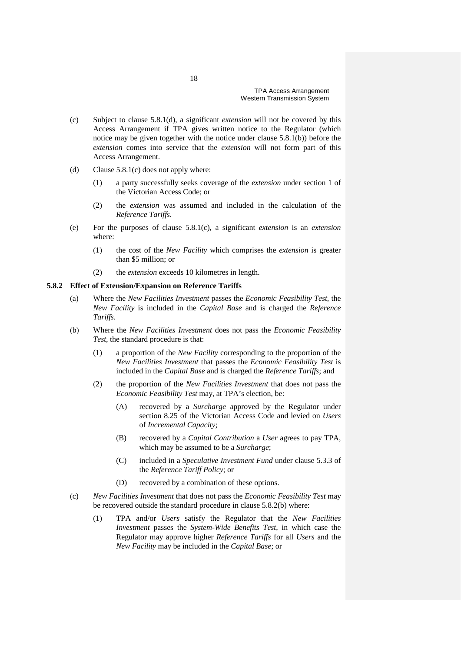- (c) Subject to clause 5.8.1(d), a significant *extension* will not be covered by this Access Arrangement if TPA gives written notice to the Regulator (which notice may be given together with the notice under clause 5.8.1(b)) before the *extension* comes into service that the *extension* will not form part of this Access Arrangement.
- (d) Clause 5.8.1(c) does not apply where:
	- (1) a party successfully seeks coverage of the *extension* under section 1 of the Victorian Access Code; or
	- (2) the *extension* was assumed and included in the calculation of the *Reference Tariffs*.
- (e) For the purposes of clause 5.8.1(c), a significant *extension* is an *extension* where:
	- (1) the cost of the *New Facility* which comprises the *extension* is greater than \$5 million; or
	- (2) the *extension* exceeds 10 kilometres in length.

### **5.8.2 Effect of Extension/Expansion on Reference Tariffs**

- (a) Where the *New Facilities Investment* passes the *Economic Feasibility Test*, the *New Facility* is included in the *Capital Base* and is charged the *Reference Tariffs*.
- (b) Where the *New Facilities Investment* does not pass the *Economic Feasibility Test*, the standard procedure is that:
	- (1) a proportion of the *New Facility* corresponding to the proportion of the *New Facilities Investment* that passes the *Economic Feasibility Test* is included in the *Capital Base* and is charged the *Reference Tariffs*; and
	- (2) the proportion of the *New Facilities Investment* that does not pass the *Economic Feasibility Test* may, at TPA's election, be:
		- (A) recovered by a *Surcharge* approved by the Regulator under section 8.25 of the Victorian Access Code and levied on *Users* of *Incremental Capacity*;
		- (B) recovered by a *Capital Contribution* a *User* agrees to pay TPA, which may be assumed to be a *Surcharge*;
		- (C) included in a *Speculative Investment Fund* under clause 5.3.3 of the *Reference Tariff Policy*; or
		- (D) recovered by a combination of these options.
- (c) *New Facilities Investment* that does not pass the *Economic Feasibility Test* may be recovered outside the standard procedure in clause 5.8.2(b) where:
	- (1) TPA and/or *Users* satisfy the Regulator that the *New Facilities Investment* passes the *System-Wide Benefits Test*, in which case the Regulator may approve higher *Reference Tariffs* for all *Users* and the *New Facility* may be included in the *Capital Base*; or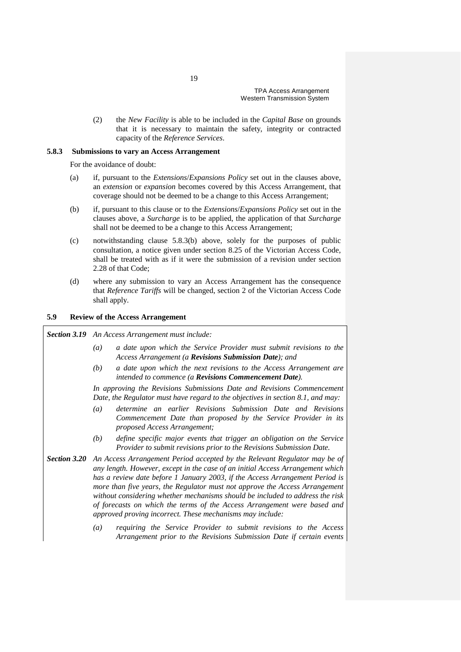(2) the *New Facility* is able to be included in the *Capital Base* on grounds that it is necessary to maintain the safety, integrity or contracted capacity of the *Reference Services*.

#### **5.8.3 Submissions to vary an Access Arrangement**

For the avoidance of doubt:

- (a) if, pursuant to the *Extensions*/*Expansions Policy* set out in the clauses above, an *extension* or *expansion* becomes covered by this Access Arrangement, that coverage should not be deemed to be a change to this Access Arrangement;
- (b) if, pursuant to this clause or to the *Extensions*/*Expansions Policy* set out in the clauses above, a *Surcharge* is to be applied, the application of that *Surcharge*  shall not be deemed to be a change to this Access Arrangement;
- (c) notwithstanding clause 5.8.3(b) above, solely for the purposes of public consultation, a notice given under section 8.25 of the Victorian Access Code, shall be treated with as if it were the submission of a revision under section 2.28 of that Code;
- (d) where any submission to vary an Access Arrangement has the consequence that *Reference Tariffs* will be changed, section 2 of the Victorian Access Code shall apply.

## **5.9 Review of the Access Arrangement**

#### *Section 3.19 An Access Arrangement must include:*

- *(a) a date upon which the Service Provider must submit revisions to the Access Arrangement (a Revisions Submission Date); and*
- *(b) a date upon which the next revisions to the Access Arrangement are intended to commence (a Revisions Commencement Date).*

*In approving the Revisions Submissions Date and Revisions Commencement Date, the Regulator must have regard to the objectives in section 8.1, and may:*

- *(a) determine an earlier Revisions Submission Date and Revisions Commencement Date than proposed by the Service Provider in its proposed Access Arrangement;*
- *(b) define specific major events that trigger an obligation on the Service Provider to submit revisions prior to the Revisions Submission Date.*
- *Section 3.20 An Access Arrangement Period accepted by the Relevant Regulator may be of any length. However, except in the case of an initial Access Arrangement which has a review date before 1 January 2003, if the Access Arrangement Period is more than five years, the Regulator must not approve the Access Arrangement without considering whether mechanisms should be included to address the risk of forecasts on which the terms of the Access Arrangement were based and approved proving incorrect. These mechanisms may include:*
	- *(a) requiring the Service Provider to submit revisions to the Access Arrangement prior to the Revisions Submission Date if certain events*

19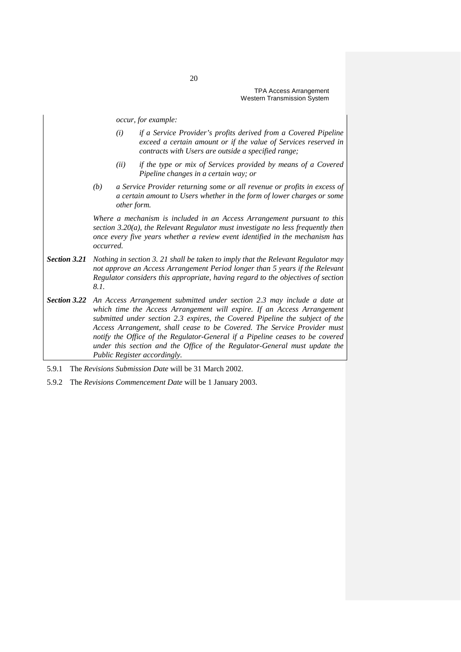*occur, for example:*

- *(i) if a Service Provider's profits derived from a Covered Pipeline exceed a certain amount or if the value of Services reserved in contracts with Users are outside a specified range;*
- *(ii) if the type or mix of Services provided by means of a Covered Pipeline changes in a certain way; or*
- *(b) a Service Provider returning some or all revenue or profits in excess of a certain amount to Users whether in the form of lower charges or some other form.*

*Where a mechanism is included in an Access Arrangement pursuant to this section 3.20(a), the Relevant Regulator must investigate no less frequently then once every five years whether a review event identified in the mechanism has occurred.*

- *Section 3.21 Nothing in section 3. 21 shall be taken to imply that the Relevant Regulator may not approve an Access Arrangement Period longer than 5 years if the Relevant Regulator considers this appropriate, having regard to the objectives of section 8.1.*
- *Section 3.22 An Access Arrangement submitted under section 2.3 may include a date at*  which time the Access Arrangement will expire. If an Access Arrangement *submitted under section 2.3 expires, the Covered Pipeline the subject of the Access Arrangement, shall cease to be Covered. The Service Provider must notify the Office of the Regulator-General if a Pipeline ceases to be covered under this section and the Office of the Regulator-General must update the Public Register accordingly.*
- 5.9.1 The *Revisions Submission Date* will be 31 March 2002.
- 5.9.2 The *Revisions Commencement Date* will be 1 January 2003.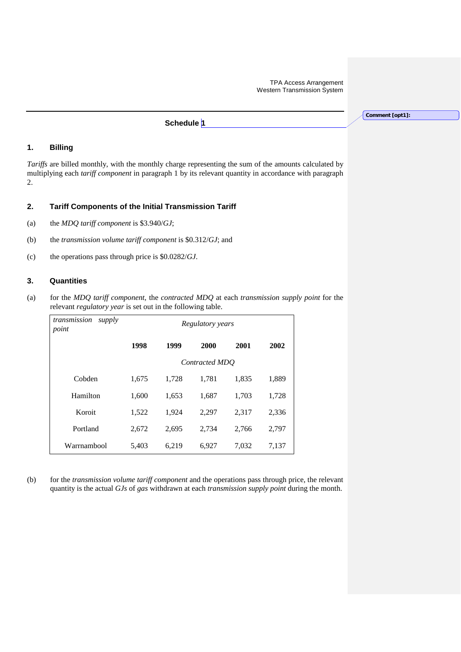# **Schedule 1**

## **1. Billing**

*Tariffs* are billed monthly, with the monthly charge representing the sum of the amounts calculated by multiplying each *tariff component* in paragraph 1 by its relevant quantity in accordance with paragraph 2.

### **2. Tariff Components of the Initial Transmission Tariff**

- (a) the *MDQ tariff component* is \$3.940/*GJ*;
- (b) the *transmission volume tariff component* is \$0.312/*GJ*; and
- (c) the operations pass through price is \$0.0282/*GJ*.

## **3. Quantities**

(a) for the *MDQ tariff component*, the *contracted MDQ* at each *transmission supply point* for the relevant *regulatory year* is set out in the following table.

| transmission<br>supply<br>point | Regulatory years |       |       |       |       |
|---------------------------------|------------------|-------|-------|-------|-------|
|                                 | 1998             | 1999  | 2000  | 2001  | 2002  |
|                                 | Contracted MDO   |       |       |       |       |
| Cobden                          | 1,675            | 1,728 | 1,781 | 1,835 | 1,889 |
| Hamilton                        | 1,600            | 1,653 | 1,687 | 1,703 | 1,728 |
| Koroit                          | 1,522            | 1,924 | 2,297 | 2,317 | 2,336 |
| Portland                        | 2,672            | 2,695 | 2,734 | 2,766 | 2,797 |
| Warrnambool                     | 5,403            | 6.219 | 6,927 | 7,032 | 7.137 |

(b) for the *transmission volume tariff component* and the operations pass through price, the relevant quantity is the actual *GJs* of *gas* withdrawn at each *transmission supply point* during the month.

**Comment [opt1]:**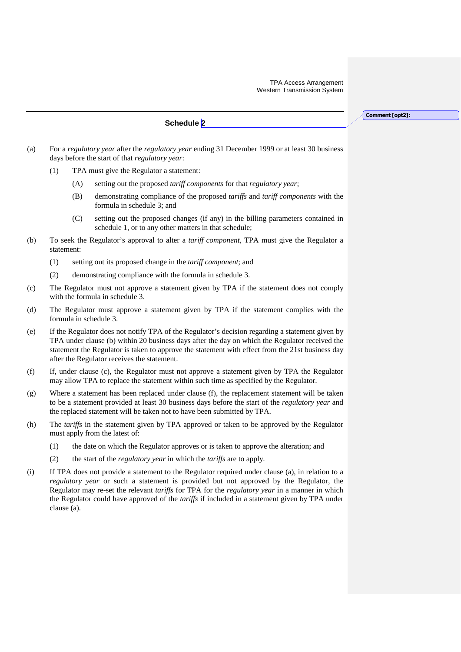**Schedule 2** 

**Comment [opt2]:** 

- (a) For a *regulatory year* after the *regulatory year* ending 31 December 1999 or at least 30 business days before the start of that *regulatory year*:
	- (1) TPA must give the Regulator a statement:
		- (A) setting out the proposed *tariff components* for that *regulatory year*;
		- (B) demonstrating compliance of the proposed *tariffs* and *tariff components* with the formula in schedule 3; and
		- (C) setting out the proposed changes (if any) in the billing parameters contained in schedule 1, or to any other matters in that schedule;
- (b) To seek the Regulator's approval to alter a *tariff component*, TPA must give the Regulator a statement:
	- (1) setting out its proposed change in the *tariff component*; and
	- (2) demonstrating compliance with the formula in schedule 3.
- (c) The Regulator must not approve a statement given by TPA if the statement does not comply with the formula in schedule 3.
- (d) The Regulator must approve a statement given by TPA if the statement complies with the formula in schedule 3.
- (e) If the Regulator does not notify TPA of the Regulator's decision regarding a statement given by TPA under clause (b) within 20 business days after the day on which the Regulator received the statement the Regulator is taken to approve the statement with effect from the 21st business day after the Regulator receives the statement.
- (f) If, under clause (c), the Regulator must not approve a statement given by TPA the Regulator may allow TPA to replace the statement within such time as specified by the Regulator.
- (g) Where a statement has been replaced under clause (f), the replacement statement will be taken to be a statement provided at least 30 business days before the start of the *regulatory year* and the replaced statement will be taken not to have been submitted by TPA.
- (h) The *tariffs* in the statement given by TPA approved or taken to be approved by the Regulator must apply from the latest of:
	- (1) the date on which the Regulator approves or is taken to approve the alteration; and
	- (2) the start of the *regulatory year* in which the *tariffs* are to apply.
- (i) If TPA does not provide a statement to the Regulator required under clause (a), in relation to a *regulatory year* or such a statement is provided but not approved by the Regulator, the Regulator may re-set the relevant *tariffs* for TPA for the *regulatory year* in a manner in which the Regulator could have approved of the *tariffs* if included in a statement given by TPA under clause (a).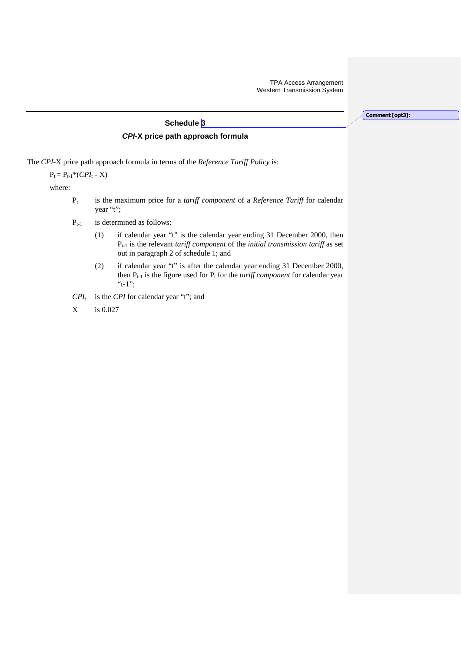**Comment [opt3]:** 

# **Schedule 3** *CPI***-X price path approach formula**

The *CPI*-X price path approach formula in terms of the *Reference Tariff Policy* is:

 $P_t = P_{t-1} * (CPI_t - X)$ 

where:

- Pt is the maximum price for a *tariff component* of a *Reference Tariff* for calendar year "t";
- $P_{t-1}$  is determined as follows:
	- (1) if calendar year "t" is the calendar year ending 31 December 2000, then Pt-1 is the relevant *tariff component* of the *initial transmission tariff* as set out in paragraph 2 of schedule 1; and
	- (2) if calendar year "t" is after the calendar year ending 31 December 2000, then  $P_{t-1}$  is the figure used for  $P_t$  for the *tariff component* for calendar year "t-1";
- $CPI_t$  is the *CPI* for calendar year "t"; and
- X is 0.027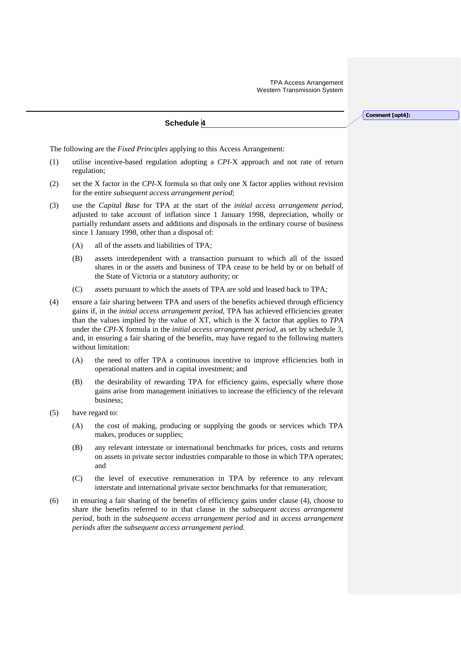**Comment [opt4]:** 

**Schedule 4**

The following are the *Fixed Principles* applying to this Access Arrangement:

- (1) utilise incentive-based regulation adopting a *CPI*-X approach and not rate of return regulation;
- (2) set the X factor in the *CPI*-X formula so that only one X factor applies without revision for the entire *subsequent access arrangement period*;
- (3) use the *Capital Base* for TPA at the start of the *initial access arrangement period*, adjusted to take account of inflation since 1 January 1998, depreciation, wholly or partially redundant assets and additions and disposals in the ordinary course of business since 1 January 1998, other than a disposal of:
	- (A) all of the assets and liabilities of TPA*;*
	- (B) assets interdependent with a transaction pursuant to which all of the issued shares in or the assets and business of TPA cease to be held by or on behalf of the State of Victoria or a statutory authority; or
	- (C) assets pursuant to which the assets of TPA are sold and leased back to TPA*;*
- (4) ensure a fair sharing between TPA and users of the benefits achieved through efficiency gains if, in the *initial access arrangement period*, TPA has achieved efficiencies greater than the values implied by the value of XT, which is the X factor that applies to *TPA* under the *CPI*-X formula in the *initial access arrangement period*, as set by schedule 3*,*  and, in ensuring a fair sharing of the benefits, may have regard to the following matters without limitation:
	- (A) the need to offer TPA a continuous incentive to improve efficiencies both in operational matters and in capital investment; and
	- (B) the desirability of rewarding TPA for efficiency gains, especially where those gains arise from management initiatives to increase the efficiency of the relevant business;
- (5) have regard to:
	- (A) the cost of making, producing or supplying the goods or services which TPA makes, produces or supplies;
	- (B) any relevant interstate or international benchmarks for prices, costs and returns on assets in private sector industries comparable to those in which TPA operates; and
	- (C) the level of executive remuneration in TPA by reference to any relevant interstate and international private sector benchmarks for that remuneration;
- (6) in ensuring a fair sharing of the benefits of efficiency gains under clause (4), choose to share the benefits referred to in that clause in the *subsequent access arrangement period*, both in the *subsequent access arrangement period* and in *access arrangement periods* after the *subsequent access arrangement period*.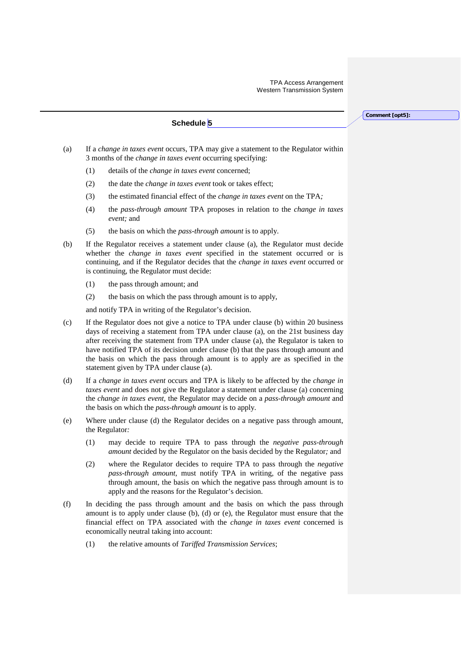**Schedule 5**

**Comment [opt5]:** 

- (a) If a *change in taxes event* occurs, TPA may give a statement to the Regulator within 3 months of the *change in taxes event* occurring specifying:
	- (1) details of the *change in taxes event* concerned;
	- (2) the date the *change in taxes event* took or takes effect;
	- (3) the estimated financial effect of the *change in taxes event* on the TPA*;*
	- (4) the *pass-through amount* TPA proposes in relation to the *change in taxes event;* and
	- (5) the basis on which the *pass-through amount* is to apply.
- (b) If the Regulator receives a statement under clause (a), the Regulator must decide whether the *change in taxes event* specified in the statement occurred or is continuing, and if the Regulator decides that the *change in taxes event* occurred or is continuing, the Regulator must decide:
	- (1) the pass through amount; and
	- (2) the basis on which the pass through amount is to apply,

and notify TPA in writing of the Regulator's decision.

- (c) If the Regulator does not give a notice to TPA under clause (b) within 20 business days of receiving a statement from TPA under clause (a), on the 21st business day after receiving the statement from TPA under clause (a), the Regulator is taken to have notified TPA of its decision under clause (b) that the pass through amount and the basis on which the pass through amount is to apply are as specified in the statement given by TPA under clause (a).
- (d) If a *change in taxes event* occurs and TPA is likely to be affected by the *change in taxes event* and does not give the Regulator a statement under clause (a) concerning the *change in taxes event,* the Regulator may decide on a *pass-through amount* and the basis on which the *pass-through amount* is to apply.
- (e) Where under clause (d) the Regulator decides on a negative pass through amount, the Regulator*:*
	- (1) may decide to require TPA to pass through the *negative pass-through amount* decided by the Regulator on the basis decided by the Regulator*;* and
	- (2) where the Regulator decides to require TPA to pass through the *negative pass-through amount*, must notify TPA in writing, of the negative pass through amount, the basis on which the negative pass through amount is to apply and the reasons for the Regulator's decision.
- (f) In deciding the pass through amount and the basis on which the pass through amount is to apply under clause (b), (d) or (e), the Regulator must ensure that the financial effect on TPA associated with the *change in taxes event* concerned is economically neutral taking into account:
	- (1) the relative amounts of *Tariffed Transmission Services*;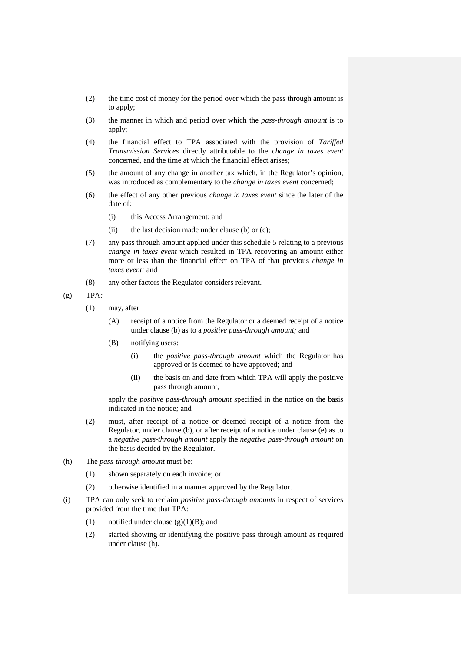- (2) the time cost of money for the period over which the pass through amount is to apply;
- (3) the manner in which and period over which the *pass-through amount* is to apply;
- (4) the financial effect to TPA associated with the provision of *Tariffed Transmission Services* directly attributable to the *change in taxes event* concerned, and the time at which the financial effect arises;
- (5) the amount of any change in another tax which, in the Regulator's opinion, was introduced as complementary to the *change in taxes event* concerned;
- (6) the effect of any other previous *change in taxes event* since the later of the date of:
	- (i) this Access Arrangement; and
	- (ii) the last decision made under clause (b) or (e);
- (7) any pass through amount applied under this schedule 5 relating to a previous *change in taxes event* which resulted in TPA recovering an amount either more or less than the financial effect on TPA of that previous *change in taxes event;* and
- (8) any other factors the Regulator considers relevant.

(g) TPA*:*

- (1) may, after
	- (A) receipt of a notice from the Regulator or a deemed receipt of a notice under clause (b) as to a *positive pass-through amount;* and
	- (B) notifying users:
		- (i) the *positive pass-through amount* which the Regulator has approved or is deemed to have approved; and
		- (ii) the basis on and date from which TPA will apply the positive pass through amount*,*

apply the *positive pass-through amount* specified in the notice on the basis indicated in the notice*;* and

- (2) must, after receipt of a notice or deemed receipt of a notice from the Regulator, under clause (b), or after receipt of a notice under clause (e) as to a *negative pass-through amount* apply the *negative pass-through amount* on the basis decided by the Regulator.
- (h) The *pass-through amount* must be:
	- (1) shown separately on each invoice; or
	- (2) otherwise identified in a manner approved by the Regulator.
- (i) TPA can only seek to reclaim *positive pass-through amounts* in respect of services provided from the time that TPA:
	- (1) notified under clause  $(g)(1)(B)$ ; and
	- (2) started showing or identifying the positive pass through amount as required under clause (h).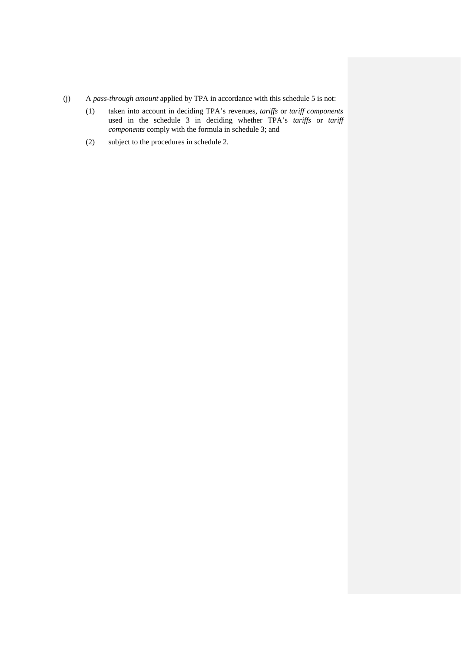- (j) A *pass-through amount* applied by TPA in accordance with this schedule 5 is not:
	- (1) taken into account in deciding TPA's revenues, *tariffs* or *tariff components*  used in the schedule 3 in deciding whether TPA's *tariffs* or *tariff components* comply with the formula in schedule 3; and
	- (2) subject to the procedures in schedule 2.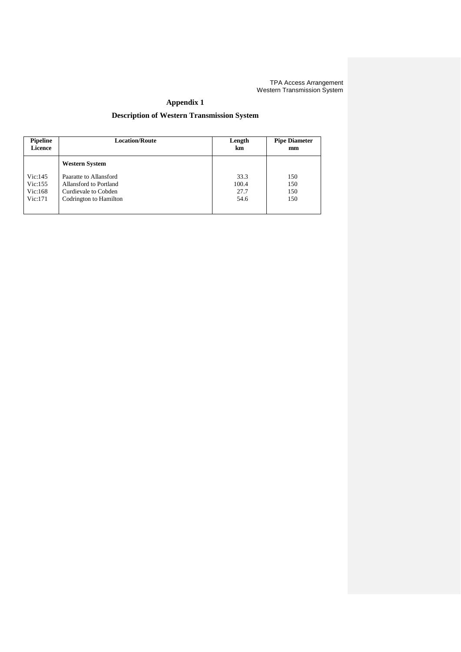# **Appendix 1**

# **Description of Western Transmission System**

| <b>Pipeline</b> | <b>Location/Route</b>  | Length | <b>Pipe Diameter</b> |
|-----------------|------------------------|--------|----------------------|
| <b>Licence</b>  |                        | km     | mm                   |
|                 | <b>Western System</b>  |        |                      |
| Vic:145         | Paaratte to Allansford | 33.3   | 150                  |
| Vic:155         | Allansford to Portland | 100.4  | 150                  |
| Vic:168         | Curdievale to Cobden   | 27.7   | 150                  |
| Vic:171         | Codrington to Hamilton | 54.6   | 150                  |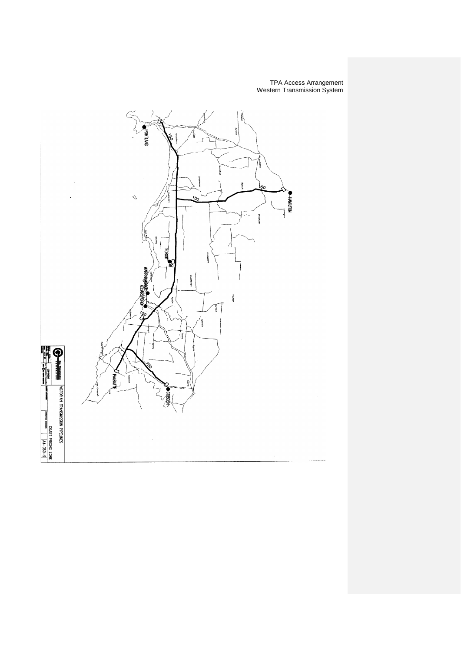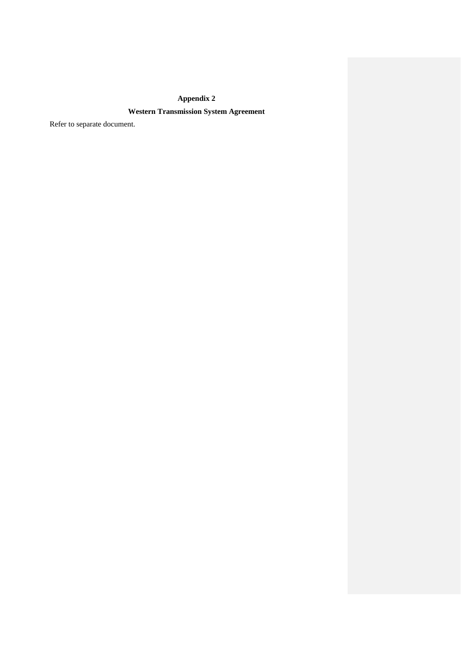# **Appendix 2**

# **Western Transmission System Agreement**

Refer to separate document.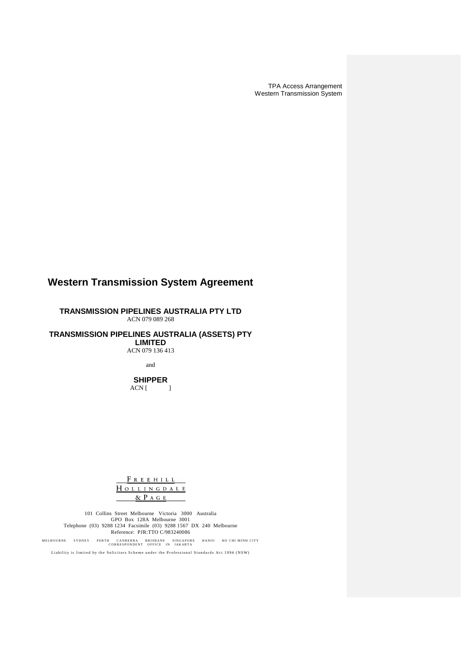# **Western Transmission System Agreement**

**TRANSMISSION PIPELINES AUSTRALIA PTY LTD** ACN 079 089 268

**TRANSMISSION PIPELINES AUSTRALIA (ASSETS) PTY LIMITED**

ACN 079 136 413

and

**SHIPPER**  $ACN$  [ ]

FREEHILL HOLLINGDALE  $\&$  P  $A$  G  $E$ 

101 Collins Street Melbourne Victoria 3000 Australia GPO Box 128A Melbourne 3001 Telephone (03) 9288 1234 Facsimile (03) 9288 1567 DX 240 Melbourne Reference: PJR:TTO C/983240086

MELBOURNE SYDNEY PERTH CANBERRA BRISBANE SINGAPORE HANOI HO CHI MINH CITY<br>CORRESPONDENT OFFICE IN JAKARTA

Liability is limited by the Solicitors Scheme under the Professional Standards Act 1994 (NSW)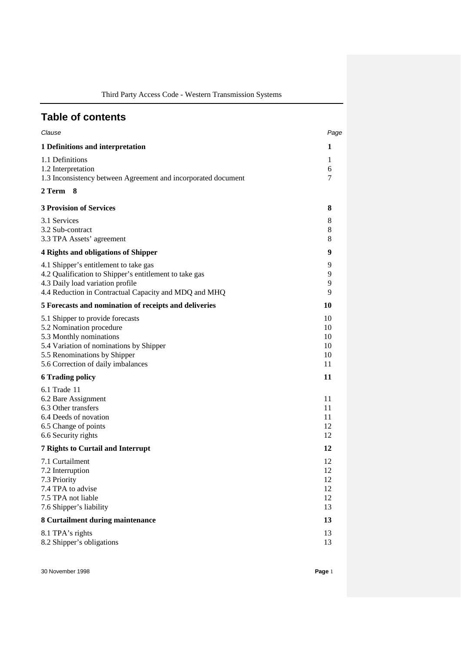Third Party Access Code - Western Transmission Systems

# **Table of contents**

| Clause                                                                                                                                                                                                   | Page                             |
|----------------------------------------------------------------------------------------------------------------------------------------------------------------------------------------------------------|----------------------------------|
| 1 Definitions and interpretation                                                                                                                                                                         | 1                                |
| 1.1 Definitions<br>1.2 Interpretation<br>1.3 Inconsistency between Agreement and incorporated document                                                                                                   | 1<br>6<br>7                      |
| 2 Term 8                                                                                                                                                                                                 |                                  |
| <b>3 Provision of Services</b>                                                                                                                                                                           | 8                                |
| 3.1 Services<br>3.2 Sub-contract<br>3.3 TPA Assets' agreement                                                                                                                                            | 8<br>8<br>8                      |
| <b>4 Rights and obligations of Shipper</b>                                                                                                                                                               | 9                                |
| 4.1 Shipper's entitlement to take gas<br>4.2 Qualification to Shipper's entitlement to take gas<br>4.3 Daily load variation profile<br>4.4 Reduction in Contractual Capacity and MDQ and MHQ             | 9<br>9<br>9<br>9                 |
| 5 Forecasts and nomination of receipts and deliveries                                                                                                                                                    | 10                               |
| 5.1 Shipper to provide forecasts<br>5.2 Nomination procedure<br>5.3 Monthly nominations<br>5.4 Variation of nominations by Shipper<br>5.5 Renominations by Shipper<br>5.6 Correction of daily imbalances | 10<br>10<br>10<br>10<br>10<br>11 |
| <b>6 Trading policy</b>                                                                                                                                                                                  | 11                               |
| 6.1 Trade 11<br>6.2 Bare Assignment<br>6.3 Other transfers<br>6.4 Deeds of novation<br>6.5 Change of points<br>6.6 Security rights                                                                       | 11<br>11<br>11<br>12<br>12       |
| <b>7 Rights to Curtail and Interrupt</b>                                                                                                                                                                 | 12                               |
| 7.1 Curtailment<br>7.2 Interruption<br>7.3 Priority<br>7.4 TPA to advise<br>7.5 TPA not liable<br>7.6 Shipper's liability                                                                                | 12<br>12<br>12<br>12<br>12<br>13 |
| 8 Curtailment during maintenance                                                                                                                                                                         | 13                               |
| 8.1 TPA's rights<br>8.2 Shipper's obligations                                                                                                                                                            | 13<br>13                         |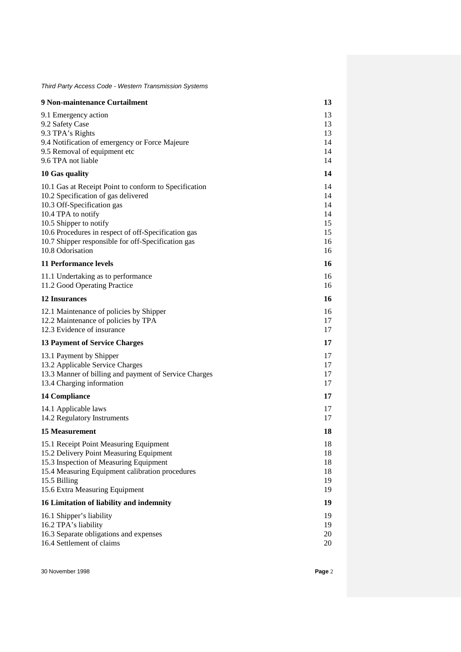*Third Party Access Code - Western Transmission Systems*

| 9 Non-maintenance Curtailment                                                                             | 13       |
|-----------------------------------------------------------------------------------------------------------|----------|
| 9.1 Emergency action                                                                                      | 13       |
| 9.2 Safety Case                                                                                           | 13       |
| 9.3 TPA's Rights                                                                                          | 13<br>14 |
| 9.4 Notification of emergency or Force Majeure<br>9.5 Removal of equipment etc                            | 14       |
| 9.6 TPA not liable                                                                                        | 14       |
| 10 Gas quality                                                                                            | 14       |
| 10.1 Gas at Receipt Point to conform to Specification                                                     | 14       |
| 10.2 Specification of gas delivered                                                                       | 14       |
| 10.3 Off-Specification gas                                                                                | 14       |
| 10.4 TPA to notify                                                                                        | 14       |
| 10.5 Shipper to notify                                                                                    | 15       |
| 10.6 Procedures in respect of off-Specification gas<br>10.7 Shipper responsible for off-Specification gas | 15<br>16 |
| 10.8 Odorisation                                                                                          | 16       |
| <b>11 Performance levels</b>                                                                              | 16       |
| 11.1 Undertaking as to performance                                                                        | 16       |
| 11.2 Good Operating Practice                                                                              | 16       |
| <b>12 Insurances</b>                                                                                      | 16       |
| 12.1 Maintenance of policies by Shipper                                                                   | 16       |
| 12.2 Maintenance of policies by TPA                                                                       | 17       |
| 12.3 Evidence of insurance                                                                                | 17       |
| <b>13 Payment of Service Charges</b>                                                                      | 17       |
| 13.1 Payment by Shipper                                                                                   | 17       |
| 13.2 Applicable Service Charges                                                                           | 17       |
| 13.3 Manner of billing and payment of Service Charges                                                     | 17       |
| 13.4 Charging information                                                                                 | 17       |
| <b>14 Compliance</b>                                                                                      | 17       |
| 14.1 Applicable laws                                                                                      | 17       |
| 14.2 Regulatory Instruments                                                                               | 17       |
| <b>15 Measurement</b>                                                                                     | 18       |
| 15.1 Receipt Point Measuring Equipment                                                                    | 18       |
| 15.2 Delivery Point Measuring Equipment                                                                   | 18       |
| 15.3 Inspection of Measuring Equipment                                                                    | 18       |
| 15.4 Measuring Equipment calibration procedures<br>15.5 Billing                                           | 18<br>19 |
| 15.6 Extra Measuring Equipment                                                                            | 19       |
| 16 Limitation of liability and indemnity                                                                  | 19       |
| 16.1 Shipper's liability                                                                                  | 19       |
| 16.2 TPA's liability                                                                                      | 19       |
| 16.3 Separate obligations and expenses                                                                    | 20       |
| 16.4 Settlement of claims                                                                                 | 20       |
|                                                                                                           |          |

30 November 1998 **Page** 2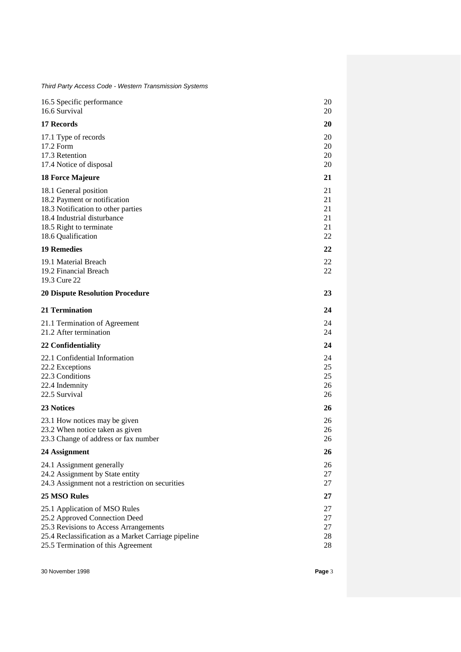*Third Party Access Code - Western Transmission Systems*

| 16.5 Specific performance<br>16.6 Survival                                                                                                                                                           | 20<br>20                         |
|------------------------------------------------------------------------------------------------------------------------------------------------------------------------------------------------------|----------------------------------|
| 17 Records                                                                                                                                                                                           | 20                               |
| 17.1 Type of records<br>17.2 Form<br>17.3 Retention<br>17.4 Notice of disposal                                                                                                                       | 20<br>20<br>20<br>20             |
| <b>18 Force Majeure</b>                                                                                                                                                                              | 21                               |
| 18.1 General position<br>18.2 Payment or notification<br>18.3 Notification to other parties<br>18.4 Industrial disturbance<br>18.5 Right to terminate<br>18.6 Qualification                          | 21<br>21<br>21<br>21<br>21<br>22 |
| <b>19 Remedies</b>                                                                                                                                                                                   | 22                               |
| 19.1 Material Breach<br>19.2 Financial Breach<br>19.3 Cure 22                                                                                                                                        | 22<br>22                         |
| <b>20 Dispute Resolution Procedure</b>                                                                                                                                                               | 23                               |
| 21 Termination                                                                                                                                                                                       | 24                               |
| 21.1 Termination of Agreement<br>21.2 After termination                                                                                                                                              | 24<br>24                         |
| 22 Confidentiality                                                                                                                                                                                   | 24                               |
| 22.1 Confidential Information<br>22.2 Exceptions<br>22.3 Conditions<br>22.4 Indemnity<br>22.5 Survival                                                                                               | 24<br>25<br>25<br>26<br>26       |
| 23 Notices                                                                                                                                                                                           | 26                               |
| 23.1 How notices may be given<br>23.2 When notice taken as given<br>23.3 Change of address or fax number                                                                                             | 26<br>26<br>26                   |
| 24 Assignment                                                                                                                                                                                        | 26                               |
| 24.1 Assignment generally<br>24.2 Assignment by State entity<br>24.3 Assignment not a restriction on securities                                                                                      | 26<br>27<br>27                   |
| <b>25 MSO Rules</b>                                                                                                                                                                                  | 27                               |
| 25.1 Application of MSO Rules<br>25.2 Approved Connection Deed<br>25.3 Revisions to Access Arrangements<br>25.4 Reclassification as a Market Carriage pipeline<br>25.5 Termination of this Agreement | 27<br>27<br>27<br>28<br>28       |
|                                                                                                                                                                                                      |                                  |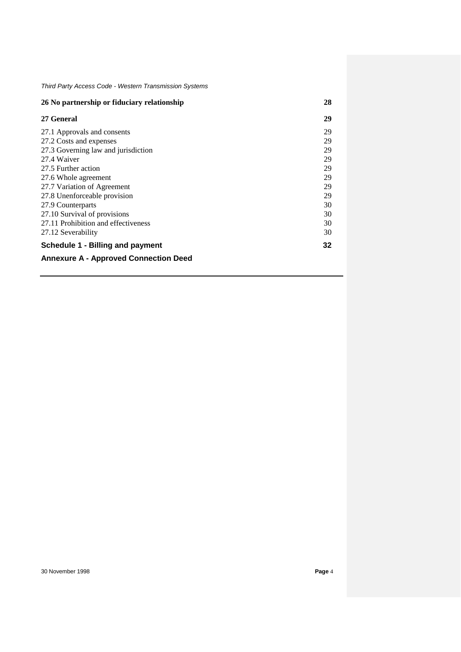| 26 No partnership or fiduciary relationship  |    |
|----------------------------------------------|----|
| 27 General                                   | 29 |
| 27.1 Approvals and consents                  | 29 |
| 27.2 Costs and expenses                      | 29 |
| 27.3 Governing law and jurisdiction          | 29 |
| 27.4 Waiver                                  | 29 |
| 27.5 Further action                          | 29 |
| 27.6 Whole agreement                         | 29 |
| 27.7 Variation of Agreement                  | 29 |
| 27.8 Unenforceable provision                 | 29 |
| 27.9 Counterparts                            | 30 |
| 27.10 Survival of provisions                 | 30 |
| 27.11 Prohibition and effectiveness          | 30 |
| 27.12 Severability                           | 30 |
| <b>Schedule 1 - Billing and payment</b>      | 32 |
| <b>Annexure A - Approved Connection Deed</b> |    |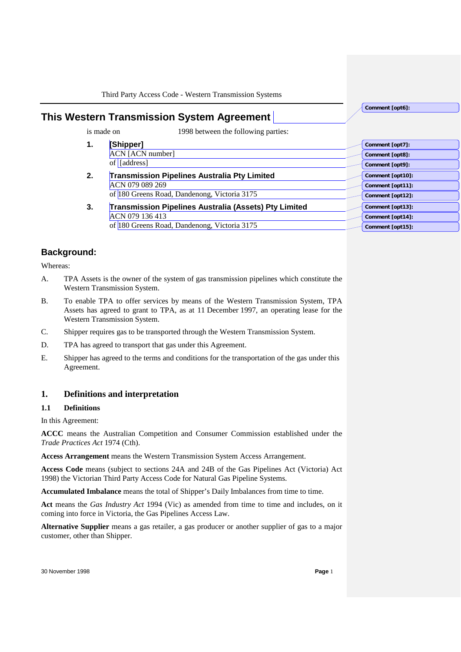**This Western Transmission System Agreement** 

is made on 1998 between the following parties:

- **1. [Shipper]** ACN [ACN number] of [address]
	- **2. Transmission Pipelines Australia Pty Limited** ACN 079 089 269 of 180 Greens Road, Dandenong, Victoria 3175
	- **3. Transmission Pipelines Australia (Assets) Pty Limited** ACN 079 136 413 of 180 Greens Road, Dandenong, Victoria 3175

# **Background:**

Whereas:

- A. TPA Assets is the owner of the system of gas transmission pipelines which constitute the Western Transmission System.
- B. To enable TPA to offer services by means of the Western Transmission System, TPA Assets has agreed to grant to TPA, as at 11 December 1997, an operating lease for the Western Transmission System.
- C. Shipper requires gas to be transported through the Western Transmission System.
- D. TPA has agreed to transport that gas under this Agreement.
- E. Shipper has agreed to the terms and conditions for the transportation of the gas under this Agreement.

# **1. Definitions and interpretation**

# **1.1 Definitions**

In this Agreement:

**ACCC** means the Australian Competition and Consumer Commission established under the *Trade Practices Act* 1974 (Cth).

**Access Arrangement** means the Western Transmission System Access Arrangement.

**Access Code** means (subject to sections 24A and 24B of the Gas Pipelines Act (Victoria) Act 1998) the Victorian Third Party Access Code for Natural Gas Pipeline Systems.

**Accumulated Imbalance** means the total of Shipper's Daily Imbalances from time to time.

**Act** means the *Gas Industry Act* 1994 (Vic) as amended from time to time and includes, on it coming into force in Victoria, the Gas Pipelines Access Law.

**Alternative Supplier** means a gas retailer, a gas producer or another supplier of gas to a major customer, other than Shipper.

**Comment [opt7]: Comment [opt8]: Comment [opt9]: Comment [opt10]: Comment [opt11]: Comment [opt12]: Comment [opt13]: Comment [opt14]: Comment [opt15]:** 

**Comment [opt6]:**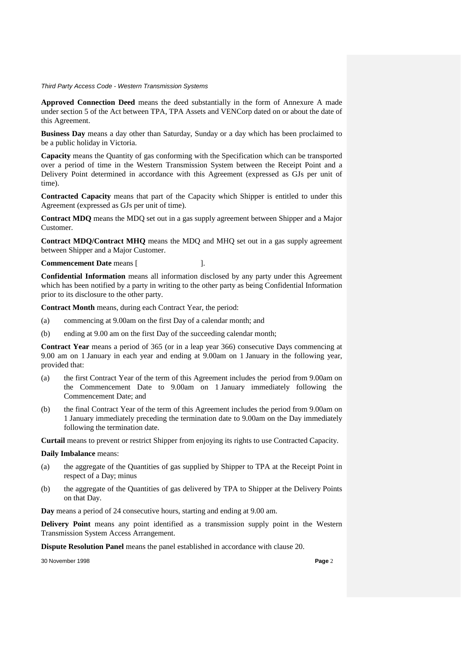**Approved Connection Deed** means the deed substantially in the form of Annexure A made under section 5 of the Act between TPA, TPA Assets and VENCorp dated on or about the date of this Agreement.

**Business Day** means a day other than Saturday, Sunday or a day which has been proclaimed to be a public holiday in Victoria.

**Capacity** means the Quantity of gas conforming with the Specification which can be transported over a period of time in the Western Transmission System between the Receipt Point and a Delivery Point determined in accordance with this Agreement (expressed as GJs per unit of time).

**Contracted Capacity** means that part of the Capacity which Shipper is entitled to under this Agreement (expressed as GJs per unit of time).

**Contract MDQ** means the MDQ set out in a gas supply agreement between Shipper and a Major Customer.

**Contract MDQ/Contract MHQ** means the MDQ and MHQ set out in a gas supply agreement between Shipper and a Major Customer.

**Commencement Date** means [  $\qquad$  ].

**Confidential Information** means all information disclosed by any party under this Agreement which has been notified by a party in writing to the other party as being Confidential Information prior to its disclosure to the other party.

**Contract Month** means, during each Contract Year, the period:

- (a) commencing at 9.00am on the first Day of a calendar month; and
- (b) ending at 9.00 am on the first Day of the succeeding calendar month;

**Contract Year** means a period of 365 (or in a leap year 366) consecutive Days commencing at 9.00 am on 1 January in each year and ending at 9.00am on 1 January in the following year, provided that:

- (a) the first Contract Year of the term of this Agreement includes the period from 9.00am on the Commencement Date to 9.00am on 1 January immediately following the Commencement Date; and
- (b) the final Contract Year of the term of this Agreement includes the period from 9.00am on 1 January immediately preceding the termination date to 9.00am on the Day immediately following the termination date.

**Curtail** means to prevent or restrict Shipper from enjoying its rights to use Contracted Capacity.

#### **Daily Imbalance** means:

- (a) the aggregate of the Quantities of gas supplied by Shipper to TPA at the Receipt Point in respect of a Day; minus
- (b) the aggregate of the Quantities of gas delivered by TPA to Shipper at the Delivery Points on that Day.

**Day** means a period of 24 consecutive hours, starting and ending at 9.00 am.

**Delivery Point** means any point identified as a transmission supply point in the Western Transmission System Access Arrangement.

**Dispute Resolution Panel** means the panel established in accordance with clause 20.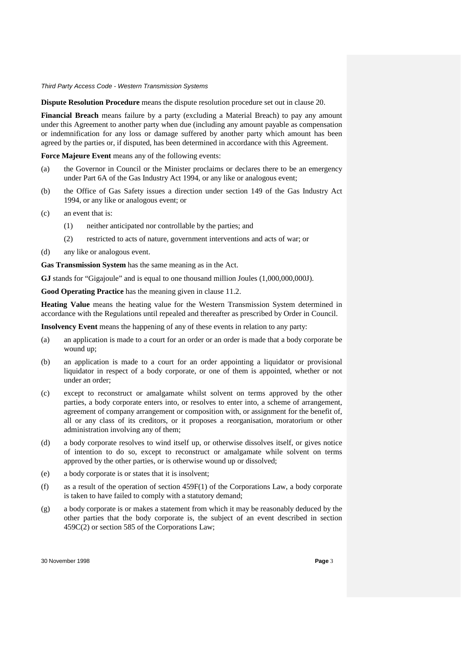**Dispute Resolution Procedure** means the dispute resolution procedure set out in clause 20.

**Financial Breach** means failure by a party (excluding a Material Breach) to pay any amount under this Agreement to another party when due (including any amount payable as compensation or indemnification for any loss or damage suffered by another party which amount has been agreed by the parties or, if disputed, has been determined in accordance with this Agreement.

**Force Majeure Event** means any of the following events:

- (a) the Governor in Council or the Minister proclaims or declares there to be an emergency under Part 6A of the Gas Industry Act 1994, or any like or analogous event;
- (b) the Office of Gas Safety issues a direction under section 149 of the Gas Industry Act 1994, or any like or analogous event; or
- (c) an event that is:
	- (1) neither anticipated nor controllable by the parties; and
	- (2) restricted to acts of nature, government interventions and acts of war; or
- (d) any like or analogous event.

**Gas Transmission System** has the same meaning as in the Act.

**GJ** stands for "Gigajoule" and is equal to one thousand million Joules (1,000,000,000J).

**Good Operating Practice** has the meaning given in clause 11.2.

**Heating Value** means the heating value for the Western Transmission System determined in accordance with the Regulations until repealed and thereafter as prescribed by Order in Council.

**Insolvency Event** means the happening of any of these events in relation to any party:

- (a) an application is made to a court for an order or an order is made that a body corporate be wound up;
- (b) an application is made to a court for an order appointing a liquidator or provisional liquidator in respect of a body corporate, or one of them is appointed, whether or not under an order;
- (c) except to reconstruct or amalgamate whilst solvent on terms approved by the other parties, a body corporate enters into, or resolves to enter into, a scheme of arrangement, agreement of company arrangement or composition with, or assignment for the benefit of, all or any class of its creditors, or it proposes a reorganisation, moratorium or other administration involving any of them;
- (d) a body corporate resolves to wind itself up, or otherwise dissolves itself, or gives notice of intention to do so, except to reconstruct or amalgamate while solvent on terms approved by the other parties, or is otherwise wound up or dissolved;
- (e) a body corporate is or states that it is insolvent;
- (f) as a result of the operation of section 459F(1) of the Corporations Law, a body corporate is taken to have failed to comply with a statutory demand;
- (g) a body corporate is or makes a statement from which it may be reasonably deduced by the other parties that the body corporate is, the subject of an event described in section 459C(2) or section 585 of the Corporations Law;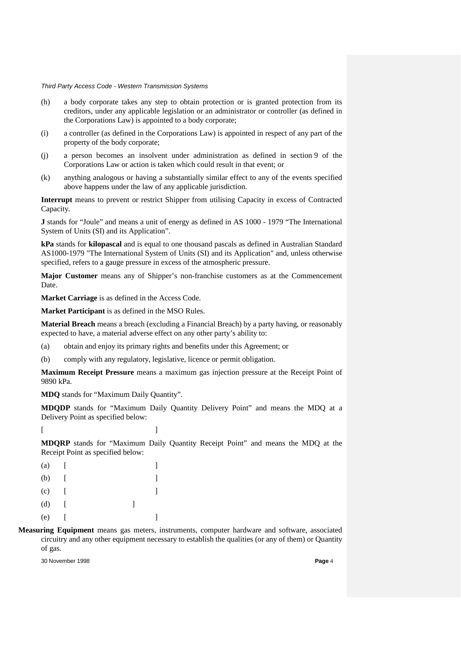- (h) a body corporate takes any step to obtain protection or is granted protection from its creditors, under any applicable legislation or an administrator or controller (as defined in the Corporations Law) is appointed to a body corporate;
- (i) a controller (as defined in the Corporations Law) is appointed in respect of any part of the property of the body corporate;
- (j) a person becomes an insolvent under administration as defined in section 9 of the Corporations Law or action is taken which could result in that event; or
- (k) anything analogous or having a substantially similar effect to any of the events specified above happens under the law of any applicable jurisdiction.

**Interrupt** means to prevent or restrict Shipper from utilising Capacity in excess of Contracted Capacity.

**J** stands for "Joule" and means a unit of energy as defined in AS 1000 - 1979 "The International System of Units (SI) and its Application".

**kPa** stands for **kilopascal** and is equal to one thousand pascals as defined in Australian Standard AS1000-1979 "The International System of Units (SI) and its Application" and, unless otherwise specified, refers to a gauge pressure in excess of the atmospheric pressure.

**Major Customer** means any of Shipper's non-franchise customers as at the Commencement Date.

**Market Carriage** is as defined in the Access Code.

**Market Participant** is as defined in the MSO Rules.

**Material Breach** means a breach (excluding a Financial Breach) by a party having, or reasonably expected to have, a material adverse effect on any other party's ability to:

(a) obtain and enjoy its primary rights and benefits under this Agreement; or

(b) comply with any regulatory, legislative, licence or permit obligation.

**Maximum Receipt Pressure** means a maximum gas injection pressure at the Receipt Point of 9890 kPa.

**MDQ** stands for "Maximum Daily Quantity".

**MDQDP** stands for "Maximum Daily Quantity Delivery Point" and means the MDQ at a Delivery Point as specified below:

 $[$ 

**MDQRP** stands for "Maximum Daily Quantity Receipt Point" and means the MDQ at the Receipt Point as specified below:

| (a) |  |  |
|-----|--|--|
| (b) |  |  |
| (c) |  |  |
| (d) |  |  |
| (e) |  |  |

**Measuring Equipment** means gas meters, instruments, computer hardware and software, associated circuitry and any other equipment necessary to establish the qualities (or any of them) or Quantity of gas.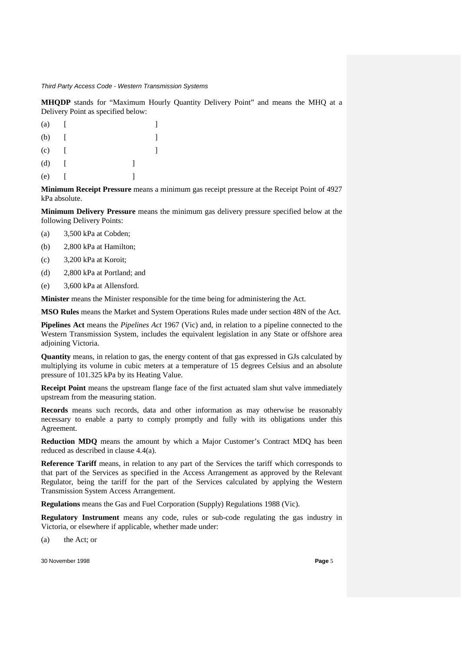**MHQDP** stands for "Maximum Hourly Quantity Delivery Point" and means the MHQ at a Delivery Point as specified below:

| (a) |  |  |
|-----|--|--|
| (b) |  |  |
| (c) |  |  |
| (d) |  |  |
| (e) |  |  |

**Minimum Receipt Pressure** means a minimum gas receipt pressure at the Receipt Point of 4927 kPa absolute.

**Minimum Delivery Pressure** means the minimum gas delivery pressure specified below at the following Delivery Points:

- (a) 3,500 kPa at Cobden;
- (b) 2,800 kPa at Hamilton;
- (c) 3,200 kPa at Koroit;
- (d) 2,800 kPa at Portland; and
- (e) 3,600 kPa at Allensford.

**Minister** means the Minister responsible for the time being for administering the Act.

**MSO Rules** means the Market and System Operations Rules made under section 48N of the Act.

**Pipelines Act** means the *Pipelines Act* 1967 (Vic) and, in relation to a pipeline connected to the Western Transmission System, includes the equivalent legislation in any State or offshore area adjoining Victoria.

**Quantity** means, in relation to gas, the energy content of that gas expressed in GJs calculated by multiplying its volume in cubic meters at a temperature of 15 degrees Celsius and an absolute pressure of 101.325 kPa by its Heating Value.

**Receipt Point** means the upstream flange face of the first actuated slam shut valve immediately upstream from the measuring station.

**Records** means such records, data and other information as may otherwise be reasonably necessary to enable a party to comply promptly and fully with its obligations under this Agreement.

**Reduction MDQ** means the amount by which a Major Customer's Contract MDQ has been reduced as described in clause 4.4(a).

**Reference Tariff** means, in relation to any part of the Services the tariff which corresponds to that part of the Services as specified in the Access Arrangement as approved by the Relevant Regulator, being the tariff for the part of the Services calculated by applying the Western Transmission System Access Arrangement.

**Regulations** means the Gas and Fuel Corporation (Supply) Regulations 1988 (Vic).

**Regulatory Instrument** means any code, rules or sub-code regulating the gas industry in Victoria, or elsewhere if applicable, whether made under:

(a) the Act; or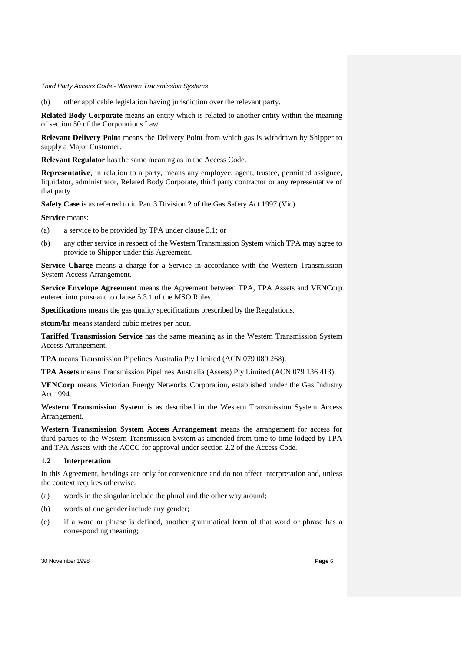(b) other applicable legislation having jurisdiction over the relevant party.

**Related Body Corporate** means an entity which is related to another entity within the meaning of section 50 of the Corporations Law.

**Relevant Delivery Point** means the Delivery Point from which gas is withdrawn by Shipper to supply a Major Customer.

**Relevant Regulator** has the same meaning as in the Access Code.

**Representative**, in relation to a party, means any employee, agent, trustee, permitted assignee, liquidator, administrator, Related Body Corporate, third party contractor or any representative of that party.

**Safety Case** is as referred to in Part 3 Division 2 of the Gas Safety Act 1997 (Vic).

**Service** means:

- (a) a service to be provided by TPA under clause 3.1; or
- (b) any other service in respect of the Western Transmission System which TPA may agree to provide to Shipper under this Agreement.

**Service Charge** means a charge for a Service in accordance with the Western Transmission System Access Arrangement.

**Service Envelope Agreement** means the Agreement between TPA, TPA Assets and VENCorp entered into pursuant to clause 5.3.1 of the MSO Rules.

**Specifications** means the gas quality specifications prescribed by the Regulations.

**stcum/hr** means standard cubic metres per hour.

**Tariffed Transmission Service** has the same meaning as in the Western Transmission System Access Arrangement.

**TPA** means Transmission Pipelines Australia Pty Limited (ACN 079 089 268).

**TPA Assets** means Transmission Pipelines Australia (Assets) Pty Limited (ACN 079 136 413).

**VENCorp** means Victorian Energy Networks Corporation, established under the Gas Industry Act 1994.

**Western Transmission System** is as described in the Western Transmission System Access Arrangement.

**Western Transmission System Access Arrangement** means the arrangement for access for third parties to the Western Transmission System as amended from time to time lodged by TPA and TPA Assets with the ACCC for approval under section 2.2 of the Access Code.

### **1.2 Interpretation**

In this Agreement, headings are only for convenience and do not affect interpretation and, unless the context requires otherwise:

- (a) words in the singular include the plural and the other way around;
- (b) words of one gender include any gender;
- (c) if a word or phrase is defined, another grammatical form of that word or phrase has a corresponding meaning;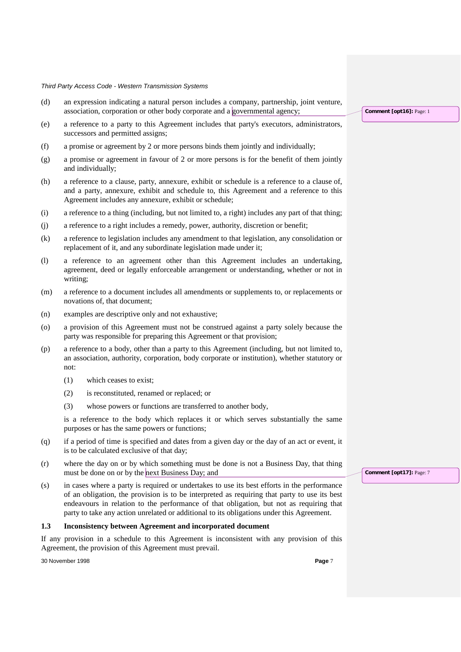- (d) an expression indicating a natural person includes a company, partnership, joint venture, association, corporation or other body corporate and a governmental agency;
- (e) a reference to a party to this Agreement includes that party's executors, administrators, successors and permitted assigns;
- (f) a promise or agreement by 2 or more persons binds them jointly and individually;
- (g) a promise or agreement in favour of 2 or more persons is for the benefit of them jointly and individually;
- (h) a reference to a clause, party, annexure, exhibit or schedule is a reference to a clause of, and a party, annexure, exhibit and schedule to, this Agreement and a reference to this Agreement includes any annexure, exhibit or schedule;
- (i) a reference to a thing (including, but not limited to, a right) includes any part of that thing;
- (j) a reference to a right includes a remedy, power, authority, discretion or benefit;
- (k) a reference to legislation includes any amendment to that legislation, any consolidation or replacement of it, and any subordinate legislation made under it;
- (l) a reference to an agreement other than this Agreement includes an undertaking, agreement, deed or legally enforceable arrangement or understanding, whether or not in writing;
- (m) a reference to a document includes all amendments or supplements to, or replacements or novations of, that document;
- (n) examples are descriptive only and not exhaustive;
- (o) a provision of this Agreement must not be construed against a party solely because the party was responsible for preparing this Agreement or that provision;
- (p) a reference to a body, other than a party to this Agreement (including, but not limited to, an association, authority, corporation, body corporate or institution), whether statutory or not:
	- (1) which ceases to exist;
	- (2) is reconstituted, renamed or replaced; or
	- (3) whose powers or functions are transferred to another body,

is a reference to the body which replaces it or which serves substantially the same purposes or has the same powers or functions;

- (q) if a period of time is specified and dates from a given day or the day of an act or event, it is to be calculated exclusive of that day;
- (r) where the day on or by which something must be done is not a Business Day, that thing must be done on or by the next Business Day; and
- (s) in cases where a party is required or undertakes to use its best efforts in the performance of an obligation, the provision is to be interpreted as requiring that party to use its best endeavours in relation to the performance of that obligation, but not as requiring that party to take any action unrelated or additional to its obligations under this Agreement.

#### **1.3 Inconsistency between Agreement and incorporated document**

If any provision in a schedule to this Agreement is inconsistent with any provision of this Agreement, the provision of this Agreement must prevail.

30 November 1998 **Page** 7

**Comment [opt17]:** Page: 7

**Comment [opt16]:** Page: 1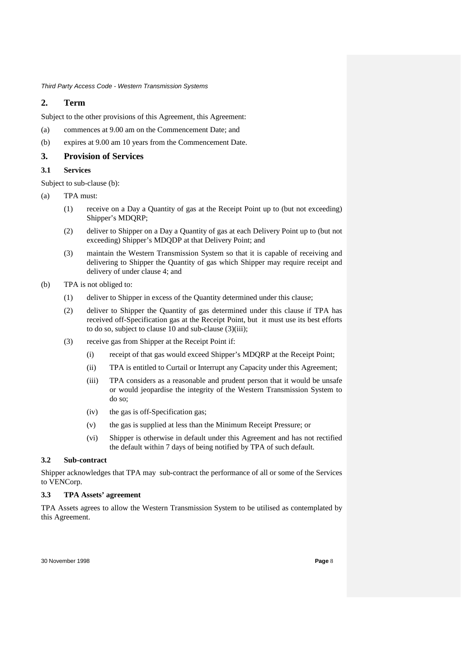# **2. Term**

Subject to the other provisions of this Agreement, this Agreement:

- (a) commences at 9.00 am on the Commencement Date; and
- (b) expires at 9.00 am 10 years from the Commencement Date.

## **3. Provision of Services**

### **3.1 Services**

Subject to sub-clause (b):

- (a) TPA must:
	- (1) receive on a Day a Quantity of gas at the Receipt Point up to (but not exceeding) Shipper's MDQRP;
	- (2) deliver to Shipper on a Day a Quantity of gas at each Delivery Point up to (but not exceeding) Shipper's MDQDP at that Delivery Point; and
	- (3) maintain the Western Transmission System so that it is capable of receiving and delivering to Shipper the Quantity of gas which Shipper may require receipt and delivery of under clause 4; and
- (b) TPA is not obliged to:
	- (1) deliver to Shipper in excess of the Quantity determined under this clause;
	- (2) deliver to Shipper the Quantity of gas determined under this clause if TPA has received off-Specification gas at the Receipt Point, but it must use its best efforts to do so, subject to clause 10 and sub-clause (3)(iii);
	- (3) receive gas from Shipper at the Receipt Point if:
		- (i) receipt of that gas would exceed Shipper's MDQRP at the Receipt Point;
		- (ii) TPA is entitled to Curtail or Interrupt any Capacity under this Agreement;
		- (iii) TPA considers as a reasonable and prudent person that it would be unsafe or would jeopardise the integrity of the Western Transmission System to do so;
		- (iv) the gas is off-Specification gas;
		- (v) the gas is supplied at less than the Minimum Receipt Pressure; or
		- (vi) Shipper is otherwise in default under this Agreement and has not rectified the default within 7 days of being notified by TPA of such default.

#### **3.2 Sub-contract**

Shipper acknowledges that TPA may sub-contract the performance of all or some of the Services to VENCorp.

# **3.3 TPA Assets' agreement**

TPA Assets agrees to allow the Western Transmission System to be utilised as contemplated by this Agreement.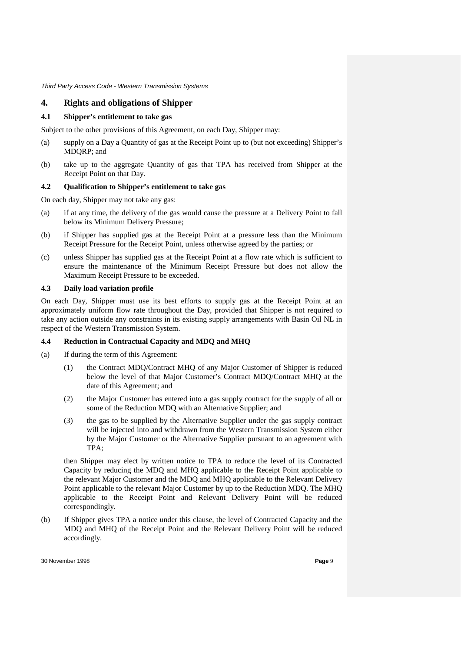# **4. Rights and obligations of Shipper**

# **4.1 Shipper's entitlement to take gas**

Subject to the other provisions of this Agreement, on each Day, Shipper may:

- (a) supply on a Day a Quantity of gas at the Receipt Point up to (but not exceeding) Shipper's MDQRP; and
- (b) take up to the aggregate Quantity of gas that TPA has received from Shipper at the Receipt Point on that Day.

# **4.2 Qualification to Shipper's entitlement to take gas**

On each day, Shipper may not take any gas:

- (a) if at any time, the delivery of the gas would cause the pressure at a Delivery Point to fall below its Minimum Delivery Pressure;
- (b) if Shipper has supplied gas at the Receipt Point at a pressure less than the Minimum Receipt Pressure for the Receipt Point, unless otherwise agreed by the parties; or
- (c) unless Shipper has supplied gas at the Receipt Point at a flow rate which is sufficient to ensure the maintenance of the Minimum Receipt Pressure but does not allow the Maximum Receipt Pressure to be exceeded.

#### **4.3 Daily load variation profile**

On each Day, Shipper must use its best efforts to supply gas at the Receipt Point at an approximately uniform flow rate throughout the Day, provided that Shipper is not required to take any action outside any constraints in its existing supply arrangements with Basin Oil NL in respect of the Western Transmission System.

## **4.4 Reduction in Contractual Capacity and MDQ and MHQ**

- (a) If during the term of this Agreement:
	- (1) the Contract MDQ/Contract MHQ of any Major Customer of Shipper is reduced below the level of that Major Customer's Contract MDQ/Contract MHQ at the date of this Agreement; and
	- (2) the Major Customer has entered into a gas supply contract for the supply of all or some of the Reduction MDQ with an Alternative Supplier; and
	- (3) the gas to be supplied by the Alternative Supplier under the gas supply contract will be injected into and withdrawn from the Western Transmission System either by the Major Customer or the Alternative Supplier pursuant to an agreement with TPA;

then Shipper may elect by written notice to TPA to reduce the level of its Contracted Capacity by reducing the MDQ and MHQ applicable to the Receipt Point applicable to the relevant Major Customer and the MDQ and MHQ applicable to the Relevant Delivery Point applicable to the relevant Major Customer by up to the Reduction MDQ. The MHQ applicable to the Receipt Point and Relevant Delivery Point will be reduced correspondingly.

(b) If Shipper gives TPA a notice under this clause, the level of Contracted Capacity and the MDQ and MHQ of the Receipt Point and the Relevant Delivery Point will be reduced accordingly.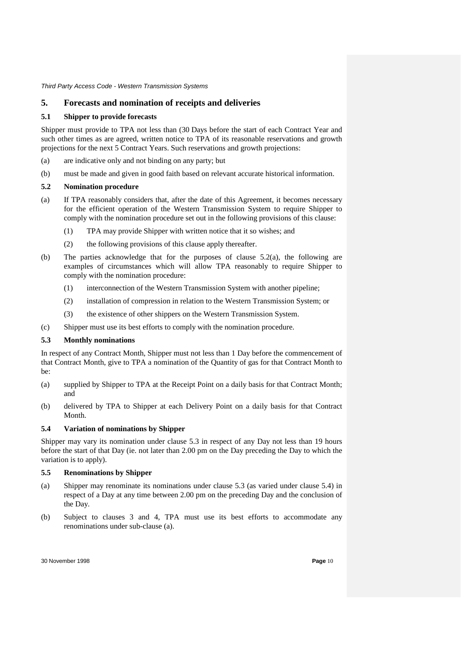# **5. Forecasts and nomination of receipts and deliveries**

### **5.1 Shipper to provide forecasts**

Shipper must provide to TPA not less than (30 Days before the start of each Contract Year and such other times as are agreed, written notice to TPA of its reasonable reservations and growth projections for the next 5 Contract Years. Such reservations and growth projections:

- (a) are indicative only and not binding on any party; but
- (b) must be made and given in good faith based on relevant accurate historical information.

### **5.2 Nomination procedure**

- (a) If TPA reasonably considers that, after the date of this Agreement, it becomes necessary for the efficient operation of the Western Transmission System to require Shipper to comply with the nomination procedure set out in the following provisions of this clause:
	- (1) TPA may provide Shipper with written notice that it so wishes; and
	- (2) the following provisions of this clause apply thereafter.
- (b) The parties acknowledge that for the purposes of clause 5.2(a), the following are examples of circumstances which will allow TPA reasonably to require Shipper to comply with the nomination procedure:
	- (1) interconnection of the Western Transmission System with another pipeline;
	- (2) installation of compression in relation to the Western Transmission System; or
	- (3) the existence of other shippers on the Western Transmission System.
- (c) Shipper must use its best efforts to comply with the nomination procedure.

# **5.3 Monthly nominations**

In respect of any Contract Month, Shipper must not less than 1 Day before the commencement of that Contract Month, give to TPA a nomination of the Quantity of gas for that Contract Month to be:

- (a) supplied by Shipper to TPA at the Receipt Point on a daily basis for that Contract Month; and
- (b) delivered by TPA to Shipper at each Delivery Point on a daily basis for that Contract Month.

# **5.4 Variation of nominations by Shipper**

Shipper may vary its nomination under clause 5.3 in respect of any Day not less than 19 hours before the start of that Day (ie. not later than 2.00 pm on the Day preceding the Day to which the variation is to apply).

### **5.5 Renominations by Shipper**

- (a) Shipper may renominate its nominations under clause 5.3 (as varied under clause 5.4) in respect of a Day at any time between 2.00 pm on the preceding Day and the conclusion of the Day.
- (b) Subject to clauses 3 and 4, TPA must use its best efforts to accommodate any renominations under sub-clause (a).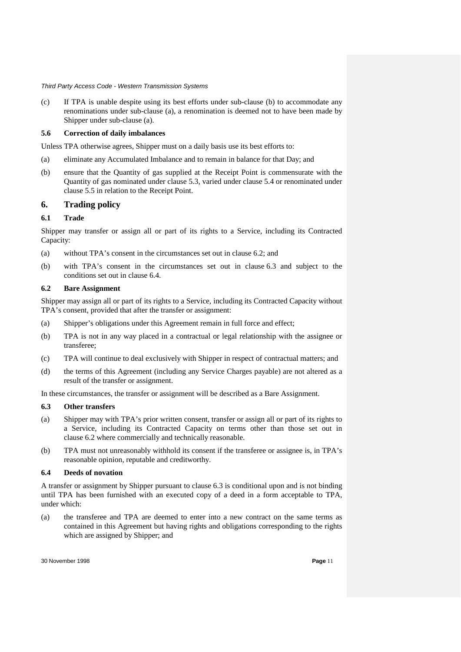(c) If TPA is unable despite using its best efforts under sub-clause (b) to accommodate any renominations under sub-clause (a), a renomination is deemed not to have been made by Shipper under sub-clause (a).

#### **5.6 Correction of daily imbalances**

Unless TPA otherwise agrees, Shipper must on a daily basis use its best efforts to:

- (a) eliminate any Accumulated Imbalance and to remain in balance for that Day; and
- (b) ensure that the Quantity of gas supplied at the Receipt Point is commensurate with the Quantity of gas nominated under clause 5.3, varied under clause 5.4 or renominated under clause 5.5 in relation to the Receipt Point.

# **6. Trading policy**

### **6.1 Trade**

Shipper may transfer or assign all or part of its rights to a Service, including its Contracted Capacity:

- (a) without TPA's consent in the circumstances set out in clause 6.2; and
- (b) with TPA's consent in the circumstances set out in clause 6.3 and subject to the conditions set out in clause 6.4.

### **6.2 Bare Assignment**

Shipper may assign all or part of its rights to a Service, including its Contracted Capacity without TPA's consent, provided that after the transfer or assignment:

- (a) Shipper's obligations under this Agreement remain in full force and effect;
- (b) TPA is not in any way placed in a contractual or legal relationship with the assignee or transferee;
- (c) TPA will continue to deal exclusively with Shipper in respect of contractual matters; and
- (d) the terms of this Agreement (including any Service Charges payable) are not altered as a result of the transfer or assignment.

In these circumstances, the transfer or assignment will be described as a Bare Assignment.

#### **6.3 Other transfers**

- (a) Shipper may with TPA's prior written consent, transfer or assign all or part of its rights to a Service, including its Contracted Capacity on terms other than those set out in clause 6.2 where commercially and technically reasonable.
- (b) TPA must not unreasonably withhold its consent if the transferee or assignee is, in TPA's reasonable opinion, reputable and creditworthy.

#### **6.4 Deeds of novation**

A transfer or assignment by Shipper pursuant to clause 6.3 is conditional upon and is not binding until TPA has been furnished with an executed copy of a deed in a form acceptable to TPA, under which:

(a) the transferee and TPA are deemed to enter into a new contract on the same terms as contained in this Agreement but having rights and obligations corresponding to the rights which are assigned by Shipper; and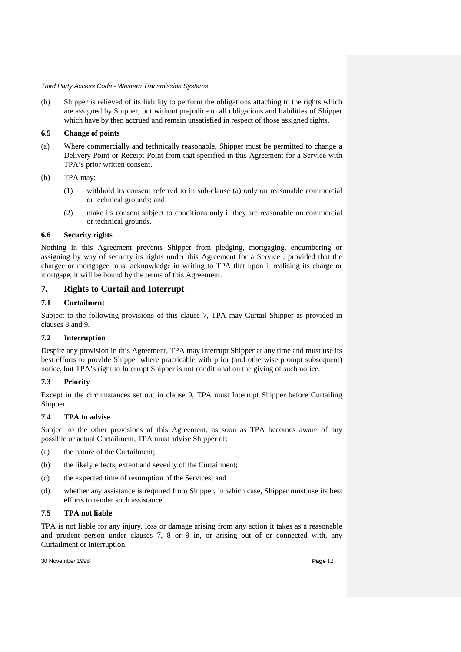(b) Shipper is relieved of its liability to perform the obligations attaching to the rights which are assigned by Shipper, but without prejudice to all obligations and liabilities of Shipper which have by then accrued and remain unsatisfied in respect of those assigned rights.

### **6.5 Change of points**

(a) Where commercially and technically reasonable, Shipper must be permitted to change a Delivery Point or Receipt Point from that specified in this Agreement for a Service with TPA's prior written consent.

### (b) TPA may:

- (1) withhold its consent referred to in sub-clause (a) only on reasonable commercial or technical grounds; and
- (2) make its consent subject to conditions only if they are reasonable on commercial or technical grounds.

# **6.6 Security rights**

Nothing in this Agreement prevents Shipper from pledging, mortgaging, encumbering or assigning by way of security its rights under this Agreement for a Service , provided that the chargee or mortgagee must acknowledge in writing to TPA that upon it realising its charge or mortgage, it will be bound by the terms of this Agreement.

# **7. Rights to Curtail and Interrupt**

# **7.1 Curtailment**

Subject to the following provisions of this clause 7, TPA may Curtail Shipper as provided in clauses 8 and 9.

# **7.2 Interruption**

Despite any provision in this Agreement, TPA may Interrupt Shipper at any time and must use its best efforts to provide Shipper where practicable with prior (and otherwise prompt subsequent) notice, but TPA's right to Interrupt Shipper is not conditional on the giving of such notice.

# **7.3 Priority**

Except in the circumstances set out in clause 9, TPA must Interrupt Shipper before Curtailing Shipper.

# **7.4 TPA to advise**

Subject to the other provisions of this Agreement, as soon as TPA becomes aware of any possible or actual Curtailment, TPA must advise Shipper of:

- (a) the nature of the Curtailment;
- (b) the likely effects, extent and severity of the Curtailment;
- (c) the expected time of resumption of the Services; and
- (d) whether any assistance is required from Shipper, in which case, Shipper must use its best efforts to render such assistance.

# **7.5 TPA not liable**

TPA is not liable for any injury, loss or damage arising from any action it takes as a reasonable and prudent person under clauses 7, 8 or 9 in, or arising out of or connected with, any Curtailment or Interruption.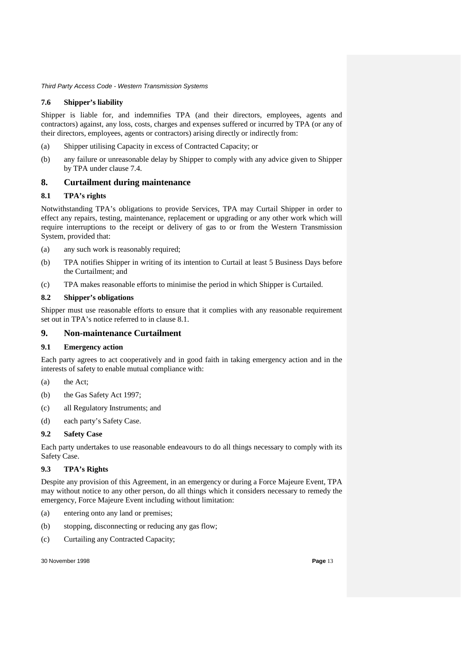## **7.6 Shipper's liability**

Shipper is liable for, and indemnifies TPA (and their directors, employees, agents and contractors) against, any loss, costs, charges and expenses suffered or incurred by TPA (or any of their directors, employees, agents or contractors) arising directly or indirectly from:

- (a) Shipper utilising Capacity in excess of Contracted Capacity; or
- (b) any failure or unreasonable delay by Shipper to comply with any advice given to Shipper by TPA under clause 7.4.

# **8. Curtailment during maintenance**

### **8.1 TPA's rights**

Notwithstanding TPA's obligations to provide Services, TPA may Curtail Shipper in order to effect any repairs, testing, maintenance, replacement or upgrading or any other work which will require interruptions to the receipt or delivery of gas to or from the Western Transmission System, provided that:

- (a) any such work is reasonably required;
- (b) TPA notifies Shipper in writing of its intention to Curtail at least 5 Business Days before the Curtailment; and
- (c) TPA makes reasonable efforts to minimise the period in which Shipper is Curtailed.

### **8.2 Shipper's obligations**

Shipper must use reasonable efforts to ensure that it complies with any reasonable requirement set out in TPA's notice referred to in clause 8.1.

# **9. Non-maintenance Curtailment**

#### **9.1 Emergency action**

Each party agrees to act cooperatively and in good faith in taking emergency action and in the interests of safety to enable mutual compliance with:

- (a) the Act;
- (b) the Gas Safety Act 1997;
- (c) all Regulatory Instruments; and
- (d) each party's Safety Case.

# **9.2 Safety Case**

Each party undertakes to use reasonable endeavours to do all things necessary to comply with its Safety Case.

# **9.3 TPA's Rights**

Despite any provision of this Agreement, in an emergency or during a Force Majeure Event, TPA may without notice to any other person, do all things which it considers necessary to remedy the emergency, Force Majeure Event including without limitation:

- (a) entering onto any land or premises;
- (b) stopping, disconnecting or reducing any gas flow;
- (c) Curtailing any Contracted Capacity;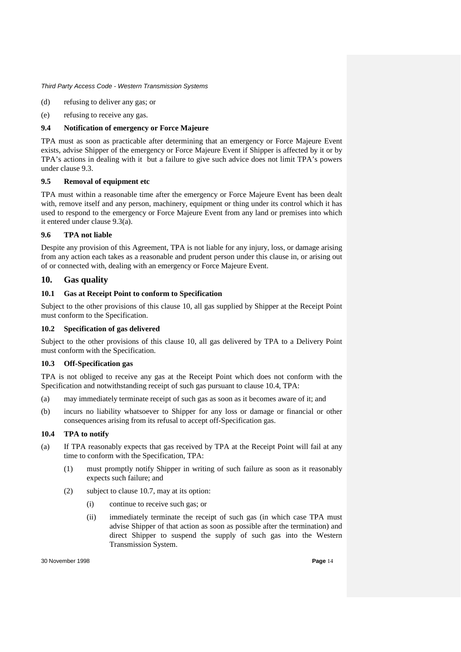- (d) refusing to deliver any gas; or
- (e) refusing to receive any gas.

## **9.4 Notification of emergency or Force Majeure**

TPA must as soon as practicable after determining that an emergency or Force Majeure Event exists, advise Shipper of the emergency or Force Majeure Event if Shipper is affected by it or by TPA's actions in dealing with it but a failure to give such advice does not limit TPA's powers under clause 9.3.

# **9.5 Removal of equipment etc**

TPA must within a reasonable time after the emergency or Force Majeure Event has been dealt with, remove itself and any person, machinery, equipment or thing under its control which it has used to respond to the emergency or Force Majeure Event from any land or premises into which it entered under clause 9.3(a).

### **9.6 TPA not liable**

Despite any provision of this Agreement, TPA is not liable for any injury, loss, or damage arising from any action each takes as a reasonable and prudent person under this clause in, or arising out of or connected with, dealing with an emergency or Force Majeure Event.

# **10. Gas quality**

### **10.1 Gas at Receipt Point to conform to Specification**

Subject to the other provisions of this clause 10, all gas supplied by Shipper at the Receipt Point must conform to the Specification.

## **10.2 Specification of gas delivered**

Subject to the other provisions of this clause 10, all gas delivered by TPA to a Delivery Point must conform with the Specification.

# **10.3 Off-Specification gas**

TPA is not obliged to receive any gas at the Receipt Point which does not conform with the Specification and notwithstanding receipt of such gas pursuant to clause 10.4, TPA:

- (a) may immediately terminate receipt of such gas as soon as it becomes aware of it; and
- (b) incurs no liability whatsoever to Shipper for any loss or damage or financial or other consequences arising from its refusal to accept off-Specification gas.

#### **10.4 TPA to notify**

- (a) If TPA reasonably expects that gas received by TPA at the Receipt Point will fail at any time to conform with the Specification, TPA:
	- (1) must promptly notify Shipper in writing of such failure as soon as it reasonably expects such failure; and
	- (2) subject to clause 10.7, may at its option:
		- (i) continue to receive such gas; or
		- (ii) immediately terminate the receipt of such gas (in which case TPA must advise Shipper of that action as soon as possible after the termination) and direct Shipper to suspend the supply of such gas into the Western Transmission System.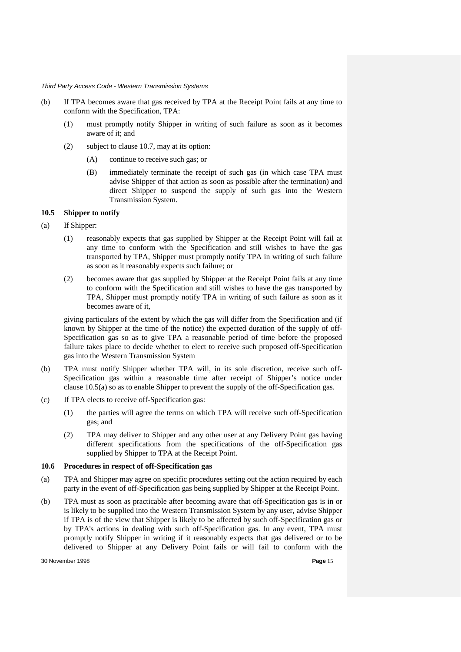- (b) If TPA becomes aware that gas received by TPA at the Receipt Point fails at any time to conform with the Specification, TPA:
	- (1) must promptly notify Shipper in writing of such failure as soon as it becomes aware of it; and
	- (2) subject to clause 10.7, may at its option:
		- (A) continue to receive such gas; or
		- (B) immediately terminate the receipt of such gas (in which case TPA must advise Shipper of that action as soon as possible after the termination) and direct Shipper to suspend the supply of such gas into the Western Transmission System.

### **10.5 Shipper to notify**

- (a) If Shipper:
	- (1) reasonably expects that gas supplied by Shipper at the Receipt Point will fail at any time to conform with the Specification and still wishes to have the gas transported by TPA, Shipper must promptly notify TPA in writing of such failure as soon as it reasonably expects such failure; or
	- (2) becomes aware that gas supplied by Shipper at the Receipt Point fails at any time to conform with the Specification and still wishes to have the gas transported by TPA, Shipper must promptly notify TPA in writing of such failure as soon as it becomes aware of it,

giving particulars of the extent by which the gas will differ from the Specification and (if known by Shipper at the time of the notice) the expected duration of the supply of off-Specification gas so as to give TPA a reasonable period of time before the proposed failure takes place to decide whether to elect to receive such proposed off-Specification gas into the Western Transmission System

- (b) TPA must notify Shipper whether TPA will, in its sole discretion, receive such off-Specification gas within a reasonable time after receipt of Shipper's notice under clause 10.5(a) so as to enable Shipper to prevent the supply of the off-Specification gas.
- (c) If TPA elects to receive off-Specification gas:
	- (1) the parties will agree the terms on which TPA will receive such off-Specification gas; and
	- (2) TPA may deliver to Shipper and any other user at any Delivery Point gas having different specifications from the specifications of the off-Specification gas supplied by Shipper to TPA at the Receipt Point.

#### **10.6 Procedures in respect of off-Specification gas**

- (a) TPA and Shipper may agree on specific procedures setting out the action required by each party in the event of off-Specification gas being supplied by Shipper at the Receipt Point.
- (b) TPA must as soon as practicable after becoming aware that off-Specification gas is in or is likely to be supplied into the Western Transmission System by any user, advise Shipper if TPA is of the view that Shipper is likely to be affected by such off-Specification gas or by TPA's actions in dealing with such off-Specification gas. In any event, TPA must promptly notify Shipper in writing if it reasonably expects that gas delivered or to be delivered to Shipper at any Delivery Point fails or will fail to conform with the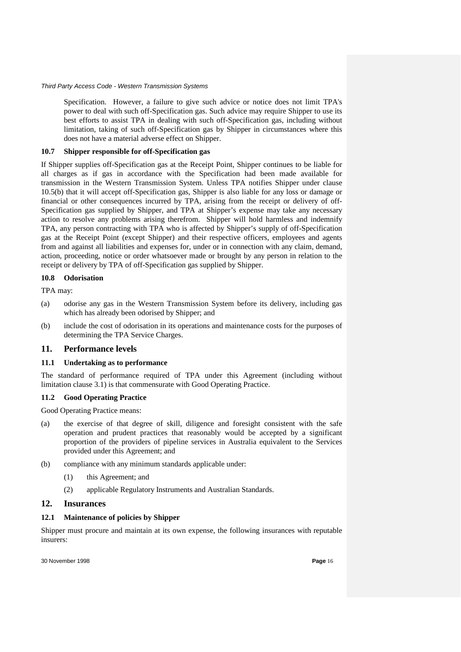Specification. However, a failure to give such advice or notice does not limit TPA's power to deal with such off-Specification gas. Such advice may require Shipper to use its best efforts to assist TPA in dealing with such off-Specification gas, including without limitation, taking of such off-Specification gas by Shipper in circumstances where this does not have a material adverse effect on Shipper.

#### **10.7 Shipper responsible for off-Specification gas**

If Shipper supplies off-Specification gas at the Receipt Point, Shipper continues to be liable for all charges as if gas in accordance with the Specification had been made available for transmission in the Western Transmission System. Unless TPA notifies Shipper under clause 10.5(b) that it will accept off-Specification gas, Shipper is also liable for any loss or damage or financial or other consequences incurred by TPA, arising from the receipt or delivery of off-Specification gas supplied by Shipper, and TPA at Shipper's expense may take any necessary action to resolve any problems arising therefrom. Shipper will hold harmless and indemnify TPA, any person contracting with TPA who is affected by Shipper's supply of off-Specification gas at the Receipt Point (except Shipper) and their respective officers, employees and agents from and against all liabilities and expenses for, under or in connection with any claim, demand, action, proceeding, notice or order whatsoever made or brought by any person in relation to the receipt or delivery by TPA of off-Specification gas supplied by Shipper.

#### **10.8 Odorisation**

TPA may:

- (a) odorise any gas in the Western Transmission System before its delivery, including gas which has already been odorised by Shipper; and
- (b) include the cost of odorisation in its operations and maintenance costs for the purposes of determining the TPA Service Charges.

# **11. Performance levels**

#### **11.1 Undertaking as to performance**

The standard of performance required of TPA under this Agreement (including without limitation clause 3.1) is that commensurate with Good Operating Practice.

#### **11.2 Good Operating Practice**

Good Operating Practice means:

- (a) the exercise of that degree of skill, diligence and foresight consistent with the safe operation and prudent practices that reasonably would be accepted by a significant proportion of the providers of pipeline services in Australia equivalent to the Services provided under this Agreement; and
- (b) compliance with any minimum standards applicable under:
	- (1) this Agreement; and
	- (2) applicable Regulatory Instruments and Australian Standards.

# **12. Insurances**

#### **12.1 Maintenance of policies by Shipper**

Shipper must procure and maintain at its own expense, the following insurances with reputable insurers: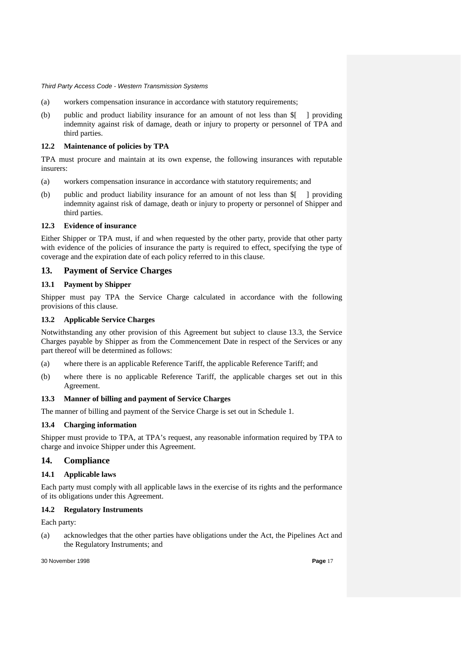- (a) workers compensation insurance in accordance with statutory requirements;
- (b) public and product liability insurance for an amount of not less than \$[ ] providing indemnity against risk of damage, death or injury to property or personnel of TPA and third parties.

## **12.2 Maintenance of policies by TPA**

TPA must procure and maintain at its own expense, the following insurances with reputable insurers:

- (a) workers compensation insurance in accordance with statutory requirements; and
- (b) public and product liability insurance for an amount of not less than \$[ ] providing indemnity against risk of damage, death or injury to property or personnel of Shipper and third parties.

## **12.3 Evidence of insurance**

Either Shipper or TPA must, if and when requested by the other party, provide that other party with evidence of the policies of insurance the party is required to effect, specifying the type of coverage and the expiration date of each policy referred to in this clause.

# **13. Payment of Service Charges**

# **13.1 Payment by Shipper**

Shipper must pay TPA the Service Charge calculated in accordance with the following provisions of this clause.

# **13.2 Applicable Service Charges**

Notwithstanding any other provision of this Agreement but subject to clause 13.3, the Service Charges payable by Shipper as from the Commencement Date in respect of the Services or any part thereof will be determined as follows:

- (a) where there is an applicable Reference Tariff, the applicable Reference Tariff; and
- (b) where there is no applicable Reference Tariff, the applicable charges set out in this Agreement.

# **13.3 Manner of billing and payment of Service Charges**

The manner of billing and payment of the Service Charge is set out in Schedule 1.

# **13.4 Charging information**

Shipper must provide to TPA, at TPA's request, any reasonable information required by TPA to charge and invoice Shipper under this Agreement.

# **14. Compliance**

# **14.1 Applicable laws**

Each party must comply with all applicable laws in the exercise of its rights and the performance of its obligations under this Agreement.

#### **14.2 Regulatory Instruments**

Each party:

(a) acknowledges that the other parties have obligations under the Act, the Pipelines Act and the Regulatory Instruments; and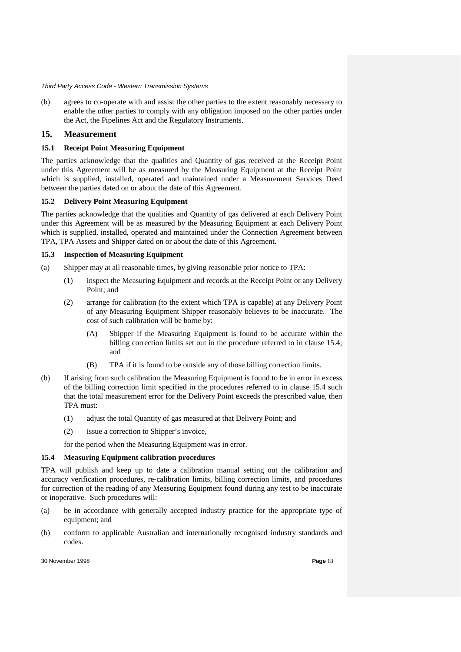(b) agrees to co-operate with and assist the other parties to the extent reasonably necessary to enable the other parties to comply with any obligation imposed on the other parties under the Act, the Pipelines Act and the Regulatory Instruments.

# **15. Measurement**

## **15.1 Receipt Point Measuring Equipment**

The parties acknowledge that the qualities and Quantity of gas received at the Receipt Point under this Agreement will be as measured by the Measuring Equipment at the Receipt Point which is supplied, installed, operated and maintained under a Measurement Services Deed between the parties dated on or about the date of this Agreement.

### **15.2 Delivery Point Measuring Equipment**

The parties acknowledge that the qualities and Quantity of gas delivered at each Delivery Point under this Agreement will be as measured by the Measuring Equipment at each Delivery Point which is supplied, installed, operated and maintained under the Connection Agreement between TPA, TPA Assets and Shipper dated on or about the date of this Agreement.

# **15.3 Inspection of Measuring Equipment**

- (a) Shipper may at all reasonable times, by giving reasonable prior notice to TPA:
	- (1) inspect the Measuring Equipment and records at the Receipt Point or any Delivery Point; and
	- (2) arrange for calibration (to the extent which TPA is capable) at any Delivery Point of any Measuring Equipment Shipper reasonably believes to be inaccurate. The cost of such calibration will be borne by:
		- (A) Shipper if the Measuring Equipment is found to be accurate within the billing correction limits set out in the procedure referred to in clause 15.4; and
		- (B) TPA if it is found to be outside any of those billing correction limits.
- (b) If arising from such calibration the Measuring Equipment is found to be in error in excess of the billing correction limit specified in the procedures referred to in clause 15.4 such that the total measurement error for the Delivery Point exceeds the prescribed value, then TPA must:
	- (1) adjust the total Quantity of gas measured at that Delivery Point; and
	- (2) issue a correction to Shipper's invoice,

for the period when the Measuring Equipment was in error.

# **15.4 Measuring Equipment calibration procedures**

TPA will publish and keep up to date a calibration manual setting out the calibration and accuracy verification procedures, re-calibration limits, billing correction limits, and procedures for correction of the reading of any Measuring Equipment found during any test to be inaccurate or inoperative. Such procedures will:

- (a) be in accordance with generally accepted industry practice for the appropriate type of equipment; and
- (b) conform to applicable Australian and internationally recognised industry standards and codes.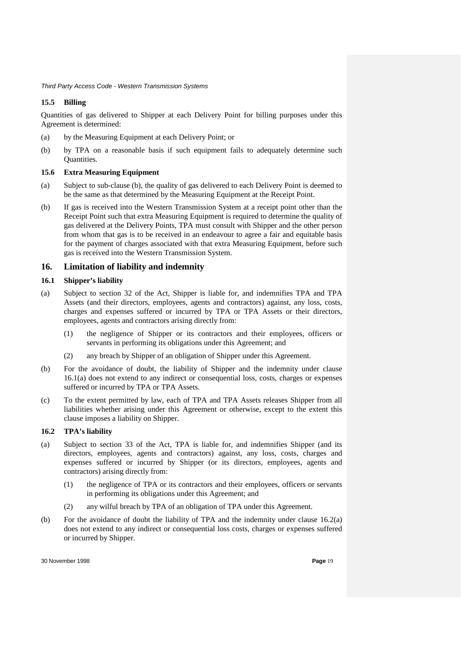### **15.5 Billing**

Quantities of gas delivered to Shipper at each Delivery Point for billing purposes under this Agreement is determined:

- (a) by the Measuring Equipment at each Delivery Point; or
- (b) by TPA on a reasonable basis if such equipment fails to adequately determine such Quantities*.*

#### **15.6 Extra Measuring Equipment**

- (a) Subject to sub-clause (b), the quality of gas delivered to each Delivery Point is deemed to be the same as that determined by the Measuring Equipment at the Receipt Point.
- (b) If gas is received into the Western Transmission System at a receipt point other than the Receipt Point such that extra Measuring Equipment is required to determine the quality of gas delivered at the Delivery Points, TPA must consult with Shipper and the other person from whom that gas is to be received in an endeavour to agree a fair and equitable basis for the payment of charges associated with that extra Measuring Equipment, before such gas is received into the Western Transmission System.

## **16. Limitation of liability and indemnity**

#### **16.1 Shipper's liability**

- (a) Subject to section 32 of the Act, Shipper is liable for, and indemnifies TPA and TPA Assets (and their directors, employees, agents and contractors) against, any loss, costs, charges and expenses suffered or incurred by TPA or TPA Assets or their directors, employees, agents and contractors arising directly from:
	- (1) the negligence of Shipper or its contractors and their employees, officers or servants in performing its obligations under this Agreement; and
	- (2) any breach by Shipper of an obligation of Shipper under this Agreement.
- (b) For the avoidance of doubt, the liability of Shipper and the indemnity under clause 16.1(a) does not extend to any indirect or consequential loss, costs, charges or expenses suffered or incurred by TPA or TPA Assets.
- (c) To the extent permitted by law, each of TPA and TPA Assets releases Shipper from all liabilities whether arising under this Agreement or otherwise, except to the extent this clause imposes a liability on Shipper.

#### **16.2 TPA's liability**

- (a) Subject to section 33 of the Act, TPA is liable for, and indemnifies Shipper (and its directors, employees, agents and contractors) against, any loss, costs, charges and expenses suffered or incurred by Shipper (or its directors, employees, agents and contractors) arising directly from:
	- (1) the negligence of TPA or its contractors and their employees, officers or servants in performing its obligations under this Agreement; and
	- (2) any wilful breach by TPA of an obligation of TPA under this Agreement.
- (b) For the avoidance of doubt the liability of TPA and the indemnity under clause 16.2(a) does not extend to any indirect or consequential loss costs, charges or expenses suffered or incurred by Shipper.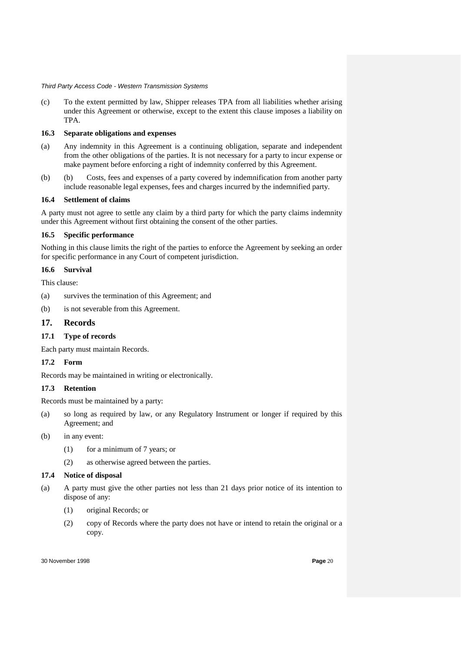(c) To the extent permitted by law, Shipper releases TPA from all liabilities whether arising under this Agreement or otherwise, except to the extent this clause imposes a liability on TPA.

### **16.3 Separate obligations and expenses**

- (a) Any indemnity in this Agreement is a continuing obligation, separate and independent from the other obligations of the parties. It is not necessary for a party to incur expense or make payment before enforcing a right of indemnity conferred by this Agreement.
- (b) (b) Costs, fees and expenses of a party covered by indemnification from another party include reasonable legal expenses, fees and charges incurred by the indemnified party.

### **16.4 Settlement of claims**

A party must not agree to settle any claim by a third party for which the party claims indemnity under this Agreement without first obtaining the consent of the other parties.

# **16.5 Specific performance**

Nothing in this clause limits the right of the parties to enforce the Agreement by seeking an order for specific performance in any Court of competent jurisdiction.

# **16.6 Survival**

This clause:

- (a) survives the termination of this Agreement; and
- (b) is not severable from this Agreement.

# **17. Records**

# **17.1 Type of records**

Each party must maintain Records.

# **17.2 Form**

Records may be maintained in writing or electronically.

# **17.3 Retention**

Records must be maintained by a party:

- (a) so long as required by law, or any Regulatory Instrument or longer if required by this Agreement; and
- (b) in any event:
	- (1) for a minimum of 7 years; or
	- (2) as otherwise agreed between the parties.

# **17.4 Notice of disposal**

- (a) A party must give the other parties not less than 21 days prior notice of its intention to dispose of any:
	- (1) original Records; or
	- (2) copy of Records where the party does not have or intend to retain the original or a copy.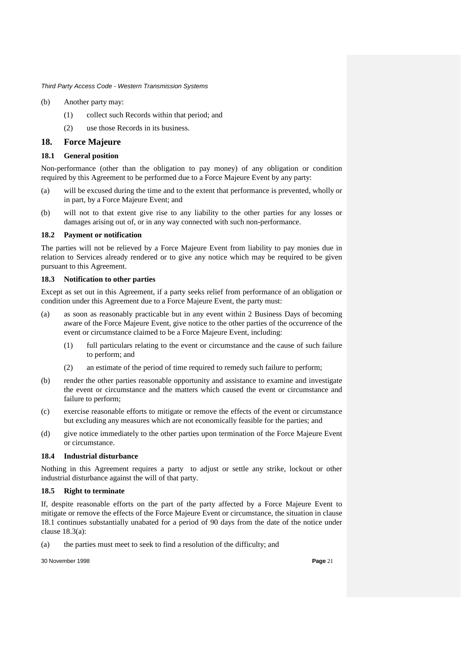- (b) Another party may:
	- (1) collect such Records within that period; and
	- (2) use those Records in its business.

### **18. Force Majeure**

#### **18.1 General position**

Non-performance (other than the obligation to pay money) of any obligation or condition required by this Agreement to be performed due to a Force Majeure Event by any party:

- (a) will be excused during the time and to the extent that performance is prevented, wholly or in part, by a Force Majeure Event; and
- (b) will not to that extent give rise to any liability to the other parties for any losses or damages arising out of, or in any way connected with such non-performance.

#### **18.2 Payment or notification**

The parties will not be relieved by a Force Majeure Event from liability to pay monies due in relation to Services already rendered or to give any notice which may be required to be given pursuant to this Agreement.

#### **18.3 Notification to other parties**

Except as set out in this Agreement, if a party seeks relief from performance of an obligation or condition under this Agreement due to a Force Majeure Event, the party must:

- (a) as soon as reasonably practicable but in any event within 2 Business Days of becoming aware of the Force Majeure Event, give notice to the other parties of the occurrence of the event or circumstance claimed to be a Force Majeure Event, including:
	- (1) full particulars relating to the event or circumstance and the cause of such failure to perform; and
	- (2) an estimate of the period of time required to remedy such failure to perform;
- (b) render the other parties reasonable opportunity and assistance to examine and investigate the event or circumstance and the matters which caused the event or circumstance and failure to perform;
- (c) exercise reasonable efforts to mitigate or remove the effects of the event or circumstance but excluding any measures which are not economically feasible for the parties; and
- (d) give notice immediately to the other parties upon termination of the Force Majeure Event or circumstance.

#### **18.4 Industrial disturbance**

Nothing in this Agreement requires a party to adjust or settle any strike, lockout or other industrial disturbance against the will of that party.

#### **18.5 Right to terminate**

If, despite reasonable efforts on the part of the party affected by a Force Majeure Event to mitigate or remove the effects of the Force Majeure Event or circumstance, the situation in clause 18.1 continues substantially unabated for a period of 90 days from the date of the notice under clause 18.3(a):

(a) the parties must meet to seek to find a resolution of the difficulty; and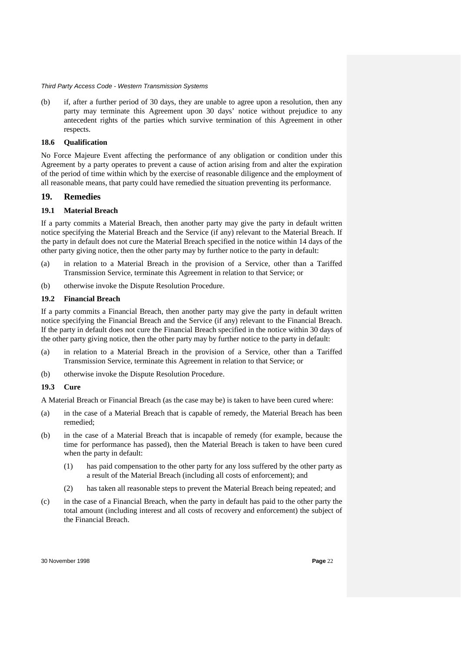(b) if, after a further period of 30 days, they are unable to agree upon a resolution, then any party may terminate this Agreement upon 30 days' notice without prejudice to any antecedent rights of the parties which survive termination of this Agreement in other respects.

#### **18.6 Qualification**

No Force Majeure Event affecting the performance of any obligation or condition under this Agreement by a party operates to prevent a cause of action arising from and alter the expiration of the period of time within which by the exercise of reasonable diligence and the employment of all reasonable means, that party could have remedied the situation preventing its performance.

### **19. Remedies**

#### **19.1 Material Breach**

If a party commits a Material Breach, then another party may give the party in default written notice specifying the Material Breach and the Service (if any) relevant to the Material Breach. If the party in default does not cure the Material Breach specified in the notice within 14 days of the other party giving notice, then the other party may by further notice to the party in default:

- (a) in relation to a Material Breach in the provision of a Service, other than a Tariffed Transmission Service, terminate this Agreement in relation to that Service; or
- (b) otherwise invoke the Dispute Resolution Procedure.

#### **19.2 Financial Breach**

If a party commits a Financial Breach, then another party may give the party in default written notice specifying the Financial Breach and the Service (if any) relevant to the Financial Breach. If the party in default does not cure the Financial Breach specified in the notice within 30 days of the other party giving notice, then the other party may by further notice to the party in default:

- (a) in relation to a Material Breach in the provision of a Service, other than a Tariffed Transmission Service, terminate this Agreement in relation to that Service; or
- (b) otherwise invoke the Dispute Resolution Procedure.

### **19.3 Cure**

A Material Breach or Financial Breach (as the case may be) is taken to have been cured where:

- (a) in the case of a Material Breach that is capable of remedy, the Material Breach has been remedied;
- (b) in the case of a Material Breach that is incapable of remedy (for example, because the time for performance has passed), then the Material Breach is taken to have been cured when the party in default:
	- (1) has paid compensation to the other party for any loss suffered by the other party as a result of the Material Breach (including all costs of enforcement); and
	- (2) has taken all reasonable steps to prevent the Material Breach being repeated; and
- (c) in the case of a Financial Breach, when the party in default has paid to the other party the total amount (including interest and all costs of recovery and enforcement) the subject of the Financial Breach.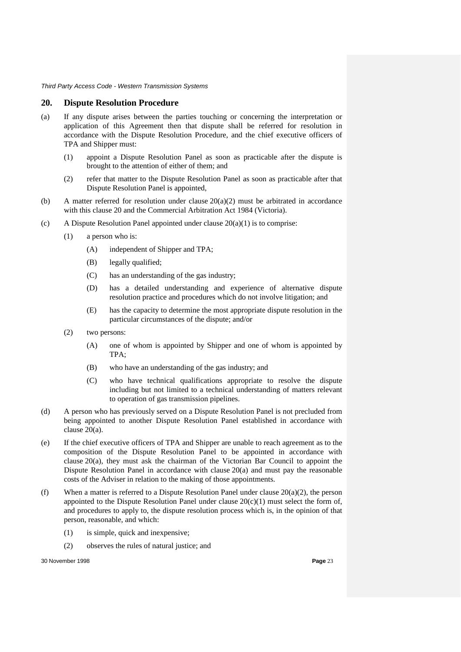#### **20. Dispute Resolution Procedure**

- (a) If any dispute arises between the parties touching or concerning the interpretation or application of this Agreement then that dispute shall be referred for resolution in accordance with the Dispute Resolution Procedure, and the chief executive officers of TPA and Shipper must:
	- (1) appoint a Dispute Resolution Panel as soon as practicable after the dispute is brought to the attention of either of them; and
	- (2) refer that matter to the Dispute Resolution Panel as soon as practicable after that Dispute Resolution Panel is appointed,
- (b) A matter referred for resolution under clause 20(a)(2) must be arbitrated in accordance with this clause 20 and the Commercial Arbitration Act 1984 (Victoria).
- (c) A Dispute Resolution Panel appointed under clause  $20(a)(1)$  is to comprise:
	- (1) a person who is:
		- (A) independent of Shipper and TPA;
		- (B) legally qualified;
		- (C) has an understanding of the gas industry;
		- (D) has a detailed understanding and experience of alternative dispute resolution practice and procedures which do not involve litigation; and
		- (E) has the capacity to determine the most appropriate dispute resolution in the particular circumstances of the dispute; and/or
	- (2) two persons:
		- (A) one of whom is appointed by Shipper and one of whom is appointed by TPA;
		- (B) who have an understanding of the gas industry; and
		- (C) who have technical qualifications appropriate to resolve the dispute including but not limited to a technical understanding of matters relevant to operation of gas transmission pipelines.
- (d) A person who has previously served on a Dispute Resolution Panel is not precluded from being appointed to another Dispute Resolution Panel established in accordance with clause 20(a).
- (e) If the chief executive officers of TPA and Shipper are unable to reach agreement as to the composition of the Dispute Resolution Panel to be appointed in accordance with clause 20(a), they must ask the chairman of the Victorian Bar Council to appoint the Dispute Resolution Panel in accordance with clause 20(a) and must pay the reasonable costs of the Adviser in relation to the making of those appointments.
- (f) When a matter is referred to a Dispute Resolution Panel under clause  $20(a)(2)$ , the person appointed to the Dispute Resolution Panel under clause  $20(c)(1)$  must select the form of, and procedures to apply to, the dispute resolution process which is, in the opinion of that person, reasonable, and which:
	- (1) is simple, quick and inexpensive;
	- (2) observes the rules of natural justice; and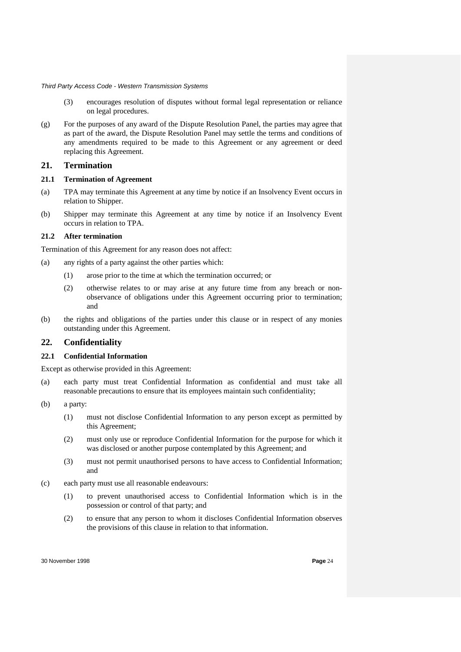- (3) encourages resolution of disputes without formal legal representation or reliance on legal procedures.
- (g) For the purposes of any award of the Dispute Resolution Panel, the parties may agree that as part of the award, the Dispute Resolution Panel may settle the terms and conditions of any amendments required to be made to this Agreement or any agreement or deed replacing this Agreement.

# **21. Termination**

### **21.1 Termination of Agreement**

- (a) TPA may terminate this Agreement at any time by notice if an Insolvency Event occurs in relation to Shipper.
- (b) Shipper may terminate this Agreement at any time by notice if an Insolvency Event occurs in relation to TPA.

#### **21.2 After termination**

Termination of this Agreement for any reason does not affect:

- (a) any rights of a party against the other parties which:
	- (1) arose prior to the time at which the termination occurred; or
	- (2) otherwise relates to or may arise at any future time from any breach or nonobservance of obligations under this Agreement occurring prior to termination; and
- (b) the rights and obligations of the parties under this clause or in respect of any monies outstanding under this Agreement.

# **22. Confidentiality**

#### **22.1 Confidential Information**

Except as otherwise provided in this Agreement:

- (a) each party must treat Confidential Information as confidential and must take all reasonable precautions to ensure that its employees maintain such confidentiality;
- (b) a party:
	- (1) must not disclose Confidential Information to any person except as permitted by this Agreement;
	- (2) must only use or reproduce Confidential Information for the purpose for which it was disclosed or another purpose contemplated by this Agreement; and
	- (3) must not permit unauthorised persons to have access to Confidential Information; and
- (c) each party must use all reasonable endeavours:
	- (1) to prevent unauthorised access to Confidential Information which is in the possession or control of that party; and
	- (2) to ensure that any person to whom it discloses Confidential Information observes the provisions of this clause in relation to that information.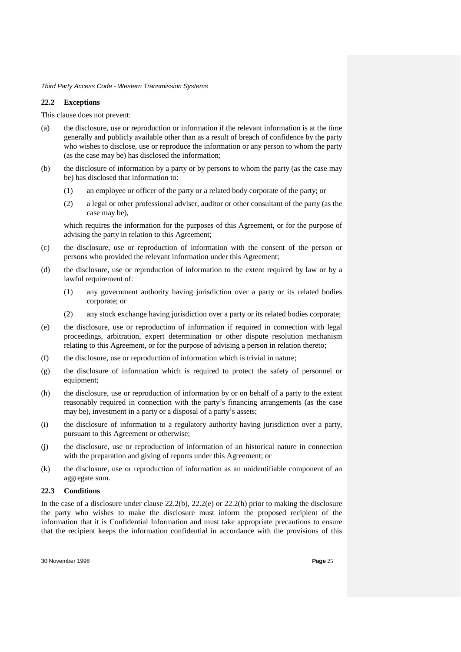#### **22.2 Exceptions**

This clause does not prevent:

- (a) the disclosure, use or reproduction or information if the relevant information is at the time generally and publicly available other than as a result of breach of confidence by the party who wishes to disclose, use or reproduce the information or any person to whom the party (as the case may be) has disclosed the information;
- (b) the disclosure of information by a party or by persons to whom the party (as the case may be) has disclosed that information to:
	- (1) an employee or officer of the party or a related body corporate of the party; or
	- (2) a legal or other professional adviser, auditor or other consultant of the party (as the case may be),

which requires the information for the purposes of this Agreement, or for the purpose of advising the party in relation to this Agreement;

- (c) the disclosure, use or reproduction of information with the consent of the person or persons who provided the relevant information under this Agreement;
- (d) the disclosure, use or reproduction of information to the extent required by law or by a lawful requirement of:
	- (1) any government authority having jurisdiction over a party or its related bodies corporate; or
	- (2) any stock exchange having jurisdiction over a party or its related bodies corporate;
- (e) the disclosure, use or reproduction of information if required in connection with legal proceedings, arbitration, expert determination or other dispute resolution mechanism relating to this Agreement, or for the purpose of advising a person in relation thereto;
- (f) the disclosure, use or reproduction of information which is trivial in nature;
- (g) the disclosure of information which is required to protect the safety of personnel or equipment;
- (h) the disclosure, use or reproduction of information by or on behalf of a party to the extent reasonably required in connection with the party's financing arrangements (as the case may be), investment in a party or a disposal of a party's assets;
- (i) the disclosure of information to a regulatory authority having jurisdiction over a party, pursuant to this Agreement or otherwise;
- (j) the disclosure, use or reproduction of information of an historical nature in connection with the preparation and giving of reports under this Agreement; or
- (k) the disclosure, use or reproduction of information as an unidentifiable component of an aggregate sum.

#### **22.3 Conditions**

In the case of a disclosure under clause 22.2(b), 22.2(e) or 22.2(h) prior to making the disclosure the party who wishes to make the disclosure must inform the proposed recipient of the information that it is Confidential Information and must take appropriate precautions to ensure that the recipient keeps the information confidential in accordance with the provisions of this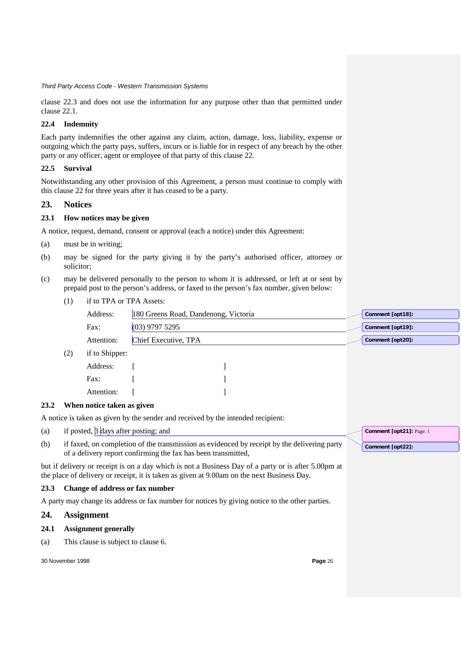clause 22.3 and does not use the information for any purpose other than that permitted under clause 22.1.

# **22.4 Indemnity**

Each party indemnifies the other against any claim, action, damage, loss, liability, expense or outgoing which the party pays, suffers, incurs or is liable for in respect of any breach by the other party or any officer, agent or employee of that party of this clause 22.

### **22.5 Survival**

Notwithstanding any other provision of this Agreement, a person must continue to comply with this clause 22 for three years after it has ceased to be a party.

# **23. Notices**

# **23.1 How notices may be given**

A notice, request, demand, consent or approval (each a notice) under this Agreement:

- (a) must be in writing;
- (b) may be signed for the party giving it by the party's authorised officer, attorney or solicitor;
- (c) may be delivered personally to the person to whom it is addressed, or left at or sent by prepaid post to the person's address, or faxed to the person's fax number, given below:
	- (1) if to TPA or TPA Assets:

| Address:   | 180 Greens Road, Dandenong, Victoria | Comment [opt18]: |
|------------|--------------------------------------|------------------|
| Fax:       | $(03)$ 9797 5295                     | Comment [opt19]: |
| Attention: | Chief Executive, TPA                 | Comment [opt20]: |

(2) if to Shipper:

| Address:   |  |
|------------|--|
| Fax:       |  |
| Attention: |  |

#### **23.2 When notice taken as given**

A notice is taken as given by the sender and received by the intended recipient:

- (a) if posted,  $\beta$  days after posting; and
- (b) if faxed, on completion of the transmission as evidenced by receipt by the delivering party of a delivery report confirming the fax has been transmitted,

but if delivery or receipt is on a day which is not a Business Day of a party or is after 5.00pm at the place of delivery or receipt, it is taken as given at 9.00am on the next Business Day.

#### **23.3 Change of address or fax number**

A party may change its address or fax number for notices by giving notice to the other parties.

# **24. Assignment**

# **24.1 Assignment generally**

(a) This clause is subject to clause 6.

30 November 1998 **Page** 26

**Comment [opt21]:** Page: 1

**Comment [opt22]:**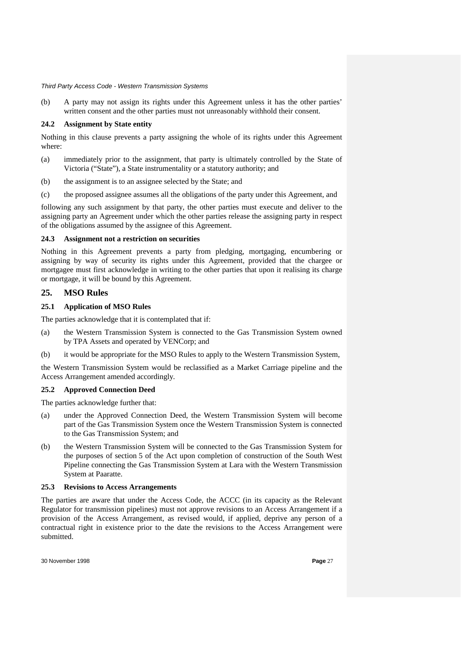(b) A party may not assign its rights under this Agreement unless it has the other parties' written consent and the other parties must not unreasonably withhold their consent.

# **24.2 Assignment by State entity**

Nothing in this clause prevents a party assigning the whole of its rights under this Agreement where:

- (a) immediately prior to the assignment, that party is ultimately controlled by the State of Victoria ("State"), a State instrumentality or a statutory authority; and
- (b) the assignment is to an assignee selected by the State; and
- (c) the proposed assignee assumes all the obligations of the party under this Agreement, and

following any such assignment by that party, the other parties must execute and deliver to the assigning party an Agreement under which the other parties release the assigning party in respect of the obligations assumed by the assignee of this Agreement.

### **24.3 Assignment not a restriction on securities**

Nothing in this Agreement prevents a party from pledging, mortgaging, encumbering or assigning by way of security its rights under this Agreement, provided that the chargee or mortgagee must first acknowledge in writing to the other parties that upon it realising its charge or mortgage, it will be bound by this Agreement.

# **25. MSO Rules**

# **25.1 Application of MSO Rules**

The parties acknowledge that it is contemplated that if:

- (a) the Western Transmission System is connected to the Gas Transmission System owned by TPA Assets and operated by VENCorp; and
- (b) it would be appropriate for the MSO Rules to apply to the Western Transmission System,

the Western Transmission System would be reclassified as a Market Carriage pipeline and the Access Arrangement amended accordingly.

# **25.2 Approved Connection Deed**

The parties acknowledge further that:

- (a) under the Approved Connection Deed, the Western Transmission System will become part of the Gas Transmission System once the Western Transmission System is connected to the Gas Transmission System; and
- (b) the Western Transmission System will be connected to the Gas Transmission System for the purposes of section 5 of the Act upon completion of construction of the South West Pipeline connecting the Gas Transmission System at Lara with the Western Transmission System at Paaratte.

#### **25.3 Revisions to Access Arrangements**

The parties are aware that under the Access Code, the ACCC (in its capacity as the Relevant Regulator for transmission pipelines) must not approve revisions to an Access Arrangement if a provision of the Access Arrangement, as revised would, if applied, deprive any person of a contractual right in existence prior to the date the revisions to the Access Arrangement were submitted.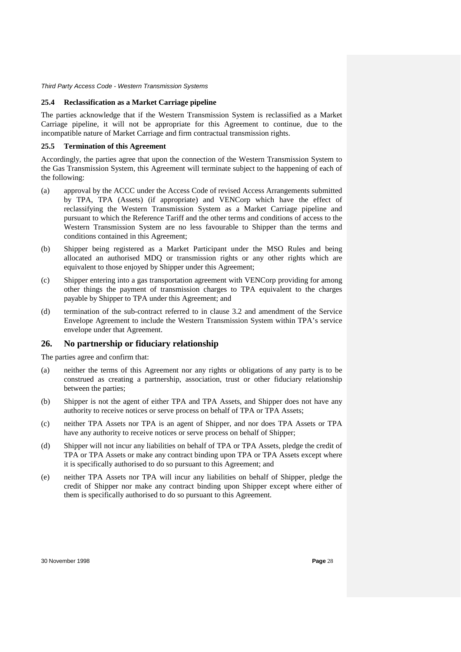#### **25.4 Reclassification as a Market Carriage pipeline**

The parties acknowledge that if the Western Transmission System is reclassified as a Market Carriage pipeline, it will not be appropriate for this Agreement to continue, due to the incompatible nature of Market Carriage and firm contractual transmission rights.

#### **25.5 Termination of this Agreement**

Accordingly, the parties agree that upon the connection of the Western Transmission System to the Gas Transmission System, this Agreement will terminate subject to the happening of each of the following:

- (a) approval by the ACCC under the Access Code of revised Access Arrangements submitted by TPA, TPA (Assets) (if appropriate) and VENCorp which have the effect of reclassifying the Western Transmission System as a Market Carriage pipeline and pursuant to which the Reference Tariff and the other terms and conditions of access to the Western Transmission System are no less favourable to Shipper than the terms and conditions contained in this Agreement;
- (b) Shipper being registered as a Market Participant under the MSO Rules and being allocated an authorised MDQ or transmission rights or any other rights which are equivalent to those enjoyed by Shipper under this Agreement;
- (c) Shipper entering into a gas transportation agreement with VENCorp providing for among other things the payment of transmission charges to TPA equivalent to the charges payable by Shipper to TPA under this Agreement; and
- (d) termination of the sub-contract referred to in clause 3.2 and amendment of the Service Envelope Agreement to include the Western Transmission System within TPA's service envelope under that Agreement.

# **26. No partnership or fiduciary relationship**

The parties agree and confirm that:

- (a) neither the terms of this Agreement nor any rights or obligations of any party is to be construed as creating a partnership, association, trust or other fiduciary relationship between the parties;
- (b) Shipper is not the agent of either TPA and TPA Assets, and Shipper does not have any authority to receive notices or serve process on behalf of TPA or TPA Assets;
- (c) neither TPA Assets nor TPA is an agent of Shipper, and nor does TPA Assets or TPA have any authority to receive notices or serve process on behalf of Shipper;
- (d) Shipper will not incur any liabilities on behalf of TPA or TPA Assets, pledge the credit of TPA or TPA Assets or make any contract binding upon TPA or TPA Assets except where it is specifically authorised to do so pursuant to this Agreement; and
- (e) neither TPA Assets nor TPA will incur any liabilities on behalf of Shipper, pledge the credit of Shipper nor make any contract binding upon Shipper except where either of them is specifically authorised to do so pursuant to this Agreement.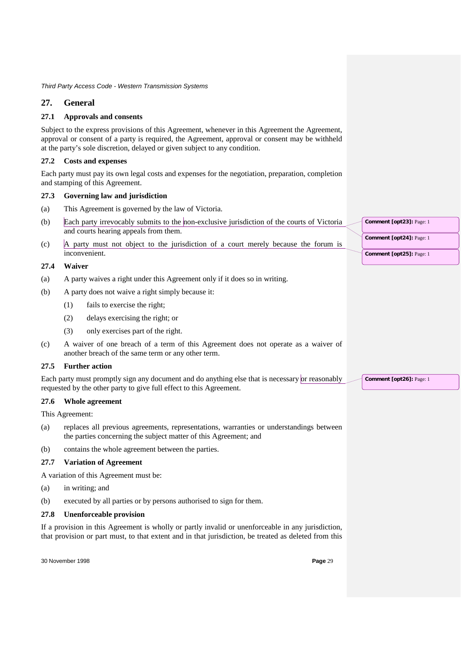# **27. General**

# **27.1 Approvals and consents**

Subject to the express provisions of this Agreement, whenever in this Agreement the Agreement, approval or consent of a party is required, the Agreement, approval or consent may be withheld at the party's sole discretion, delayed or given subject to any condition.

### **27.2 Costs and expenses**

Each party must pay its own legal costs and expenses for the negotiation, preparation, completion and stamping of this Agreement.

#### **27.3 Governing law and jurisdiction**

- (a) This Agreement is governed by the law of Victoria.
- (b) Each party irrevocably submits to the non-exclusive jurisdiction of the courts of Victoria and courts hearing appeals from them.
- (c) A party must not object to the jurisdiction of a court merely because the forum is inconvenient.

## **27.4 Waiver**

- (a) A party waives a right under this Agreement only if it does so in writing.
- (b) A party does not waive a right simply because it:
	- (1) fails to exercise the right;
	- (2) delays exercising the right; or
	- (3) only exercises part of the right.
- (c) A waiver of one breach of a term of this Agreement does not operate as a waiver of another breach of the same term or any other term.

# **27.5 Further action**

Each party must promptly sign any document and do anything else that is necessary or reasonably requested by the other party to give full effect to this Agreement.

#### **27.6 Whole agreement**

This Agreement:

- (a) replaces all previous agreements, representations, warranties or understandings between the parties concerning the subject matter of this Agreement; and
- (b) contains the whole agreement between the parties.

#### **27.7 Variation of Agreement**

A variation of this Agreement must be:

- (a) in writing; and
- (b) executed by all parties or by persons authorised to sign for them.

#### **27.8 Unenforceable provision**

If a provision in this Agreement is wholly or partly invalid or unenforceable in any jurisdiction, that provision or part must, to that extent and in that jurisdiction, be treated as deleted from this

30 November 1998 **Page** 29

**Comment [opt23]:** Page: 1 **Comment [opt24]:** Page: 1

**Comment [opt25]:** Page: 1

**Comment [opt26]:** Page: 1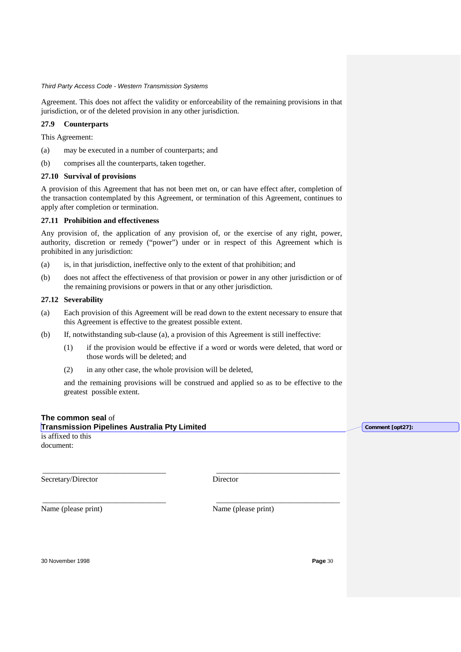Agreement. This does not affect the validity or enforceability of the remaining provisions in that jurisdiction, or of the deleted provision in any other jurisdiction.

# **27.9 Counterparts**

This Agreement:

- (a) may be executed in a number of counterparts; and
- (b) comprises all the counterparts, taken together.

#### **27.10 Survival of provisions**

A provision of this Agreement that has not been met on, or can have effect after, completion of the transaction contemplated by this Agreement, or termination of this Agreement, continues to apply after completion or termination.

### **27.11 Prohibition and effectiveness**

Any provision of, the application of any provision of, or the exercise of any right, power, authority, discretion or remedy ("power") under or in respect of this Agreement which is prohibited in any jurisdiction:

- (a) is, in that jurisdiction, ineffective only to the extent of that prohibition; and
- (b) does not affect the effectiveness of that provision or power in any other jurisdiction or of the remaining provisions or powers in that or any other jurisdiction.

### **27.12 Severability**

- (a) Each provision of this Agreement will be read down to the extent necessary to ensure that this Agreement is effective to the greatest possible extent.
- (b) If, notwithstanding sub-clause (a), a provision of this Agreement is still ineffective:
	- (1) if the provision would be effective if a word or words were deleted, that word or those words will be deleted; and
	- (2) in any other case, the whole provision will be deleted,

and the remaining provisions will be construed and applied so as to be effective to the greatest possible extent.

\_\_\_\_\_\_\_\_\_\_\_\_\_\_\_\_\_\_\_\_\_\_\_\_\_\_\_\_\_\_\_\_ \_\_\_\_\_\_\_\_\_\_\_\_\_\_\_\_\_\_\_\_\_\_\_\_\_\_\_\_\_\_\_\_

# **The common seal** of

**Transmission Pipelines Australia Pty Limited** is affixed to this document:

Secretary/Director Director

\_\_\_\_\_\_\_\_\_\_\_\_\_\_\_\_\_\_\_\_\_\_\_\_\_\_\_\_\_\_\_\_ \_\_\_\_\_\_\_\_\_\_\_\_\_\_\_\_\_\_\_\_\_\_\_\_\_\_\_\_\_\_\_\_

Name (please print) Name (please print)

30 November 1998 **Page** 30

**Comment [opt27]:**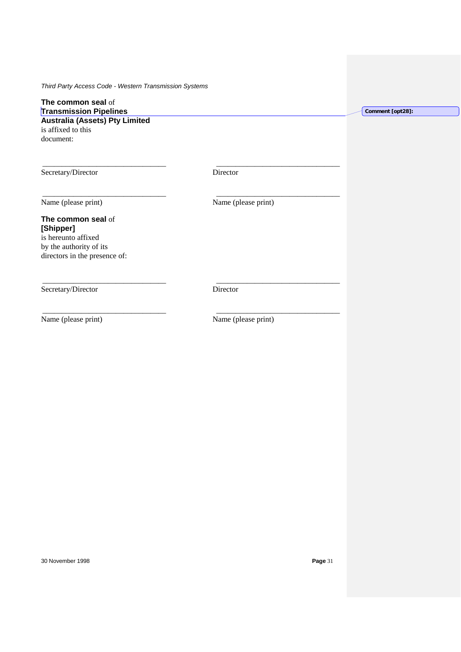# **The common seal** of **Transmission Pipelines**

**Australia (Assets) Pty Limited** is affixed to this document:

Secretary/Director Director

\_\_\_\_\_\_\_\_\_\_\_\_\_\_\_\_\_\_\_\_\_\_\_\_\_\_\_\_\_\_\_\_ \_\_\_\_\_\_\_\_\_\_\_\_\_\_\_\_\_\_\_\_\_\_\_\_\_\_\_\_\_\_\_\_

\_\_\_\_\_\_\_\_\_\_\_\_\_\_\_\_\_\_\_\_\_\_\_\_\_\_\_\_\_\_\_\_ \_\_\_\_\_\_\_\_\_\_\_\_\_\_\_\_\_\_\_\_\_\_\_\_\_\_\_\_\_\_\_\_

\_\_\_\_\_\_\_\_\_\_\_\_\_\_\_\_\_\_\_\_\_\_\_\_\_\_\_\_\_\_\_\_ \_\_\_\_\_\_\_\_\_\_\_\_\_\_\_\_\_\_\_\_\_\_\_\_\_\_\_\_\_\_\_\_

\_\_\_\_\_\_\_\_\_\_\_\_\_\_\_\_\_\_\_\_\_\_\_\_\_\_\_\_\_\_\_\_ \_\_\_\_\_\_\_\_\_\_\_\_\_\_\_\_\_\_\_\_\_\_\_\_\_\_\_\_\_\_\_\_

Name (please print) Name (please print)

# **The common seal** of **[Shipper]** is hereunto affixed

by the authority of its directors in the presence of:

Secretary/Director Director

Name (please print) Name (please print)

30 November 1998 **Page** 31

**Comment [opt28]:**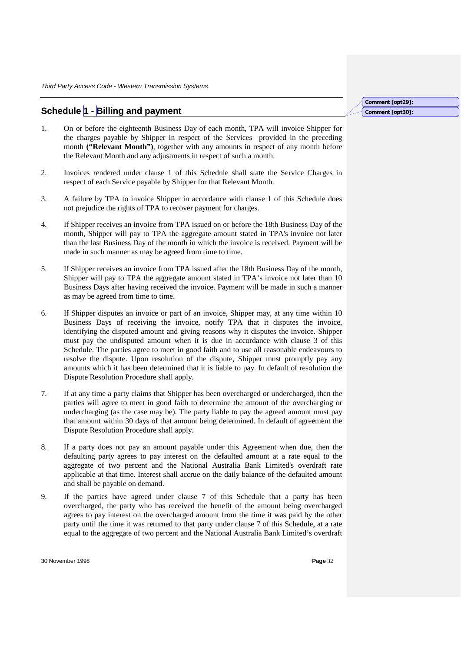# **Schedule 1 - Billing and payment**

- **Comment [opt29]: Comment [opt30]:**
- 1. On or before the eighteenth Business Day of each month, TPA will invoice Shipper for the charges payable by Shipper in respect of the Services provided in the preceding month **("Relevant Month")**, together with any amounts in respect of any month before the Relevant Month and any adjustments in respect of such a month.
- 2. Invoices rendered under clause 1 of this Schedule shall state the Service Charges in respect of each Service payable by Shipper for that Relevant Month.
- 3. A failure by TPA to invoice Shipper in accordance with clause 1 of this Schedule does not prejudice the rights of TPA to recover payment for charges.
- 4. If Shipper receives an invoice from TPA issued on or before the 18th Business Day of the month, Shipper will pay to TPA the aggregate amount stated in TPA's invoice not later than the last Business Day of the month in which the invoice is received. Payment will be made in such manner as may be agreed from time to time.
- 5. If Shipper receives an invoice from TPA issued after the 18th Business Day of the month, Shipper will pay to TPA the aggregate amount stated in TPA's invoice not later than 10 Business Days after having received the invoice. Payment will be made in such a manner as may be agreed from time to time.
- 6. If Shipper disputes an invoice or part of an invoice, Shipper may, at any time within 10 Business Days of receiving the invoice, notify TPA that it disputes the invoice, identifying the disputed amount and giving reasons why it disputes the invoice. Shipper must pay the undisputed amount when it is due in accordance with clause 3 of this Schedule. The parties agree to meet in good faith and to use all reasonable endeavours to resolve the dispute. Upon resolution of the dispute, Shipper must promptly pay any amounts which it has been determined that it is liable to pay. In default of resolution the Dispute Resolution Procedure shall apply.
- 7. If at any time a party claims that Shipper has been overcharged or undercharged, then the parties will agree to meet in good faith to determine the amount of the overcharging or undercharging (as the case may be). The party liable to pay the agreed amount must pay that amount within 30 days of that amount being determined. In default of agreement the Dispute Resolution Procedure shall apply.
- 8. If a party does not pay an amount payable under this Agreement when due, then the defaulting party agrees to pay interest on the defaulted amount at a rate equal to the aggregate of two percent and the National Australia Bank Limited's overdraft rate applicable at that time. Interest shall accrue on the daily balance of the defaulted amount and shall be payable on demand.
- 9. If the parties have agreed under clause 7 of this Schedule that a party has been overcharged, the party who has received the benefit of the amount being overcharged agrees to pay interest on the overcharged amount from the time it was paid by the other party until the time it was returned to that party under clause 7 of this Schedule, at a rate equal to the aggregate of two percent and the National Australia Bank Limited's overdraft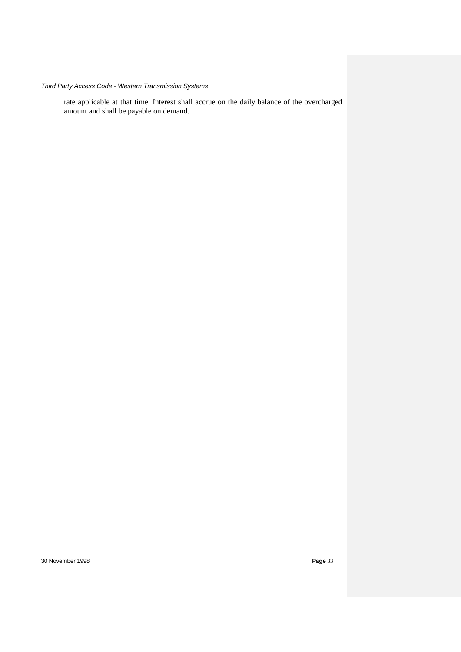rate applicable at that time. Interest shall accrue on the daily balance of the overcharged amount and shall be payable on demand.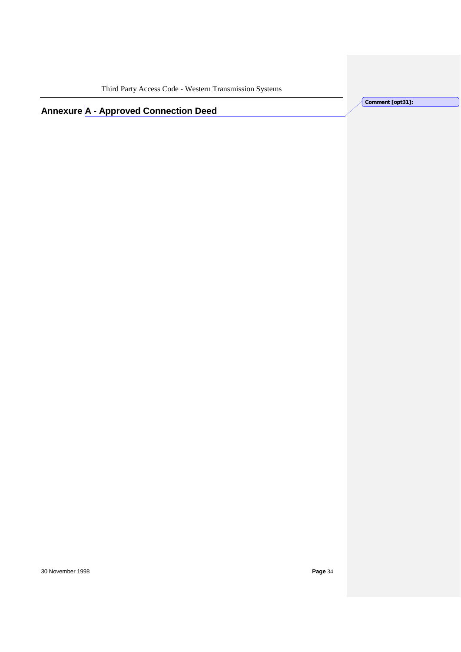**Comment [opt31]:** 

**Annexure A - Approved Connection Deed**